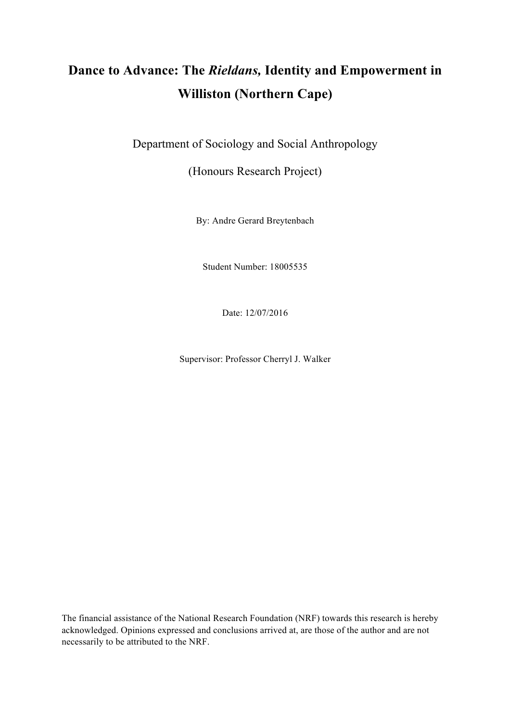# **Dance to Advance: The** *Rieldans,* **Identity and Empowerment in Williston (Northern Cape)**

Department of Sociology and Social Anthropology

(Honours Research Project)

By: Andre Gerard Breytenbach

Student Number: 18005535

Date: 12/07/2016

Supervisor: Professor Cherryl J. Walker

The financial assistance of the National Research Foundation (NRF) towards this research is hereby acknowledged. Opinions expressed and conclusions arrived at, are those of the author and are not necessarily to be attributed to the NRF.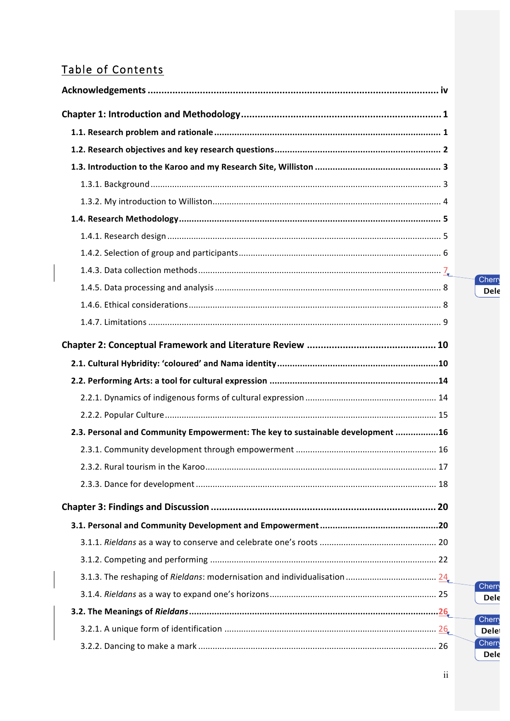# Table of Contents

 $\begin{array}{c} \hline \end{array}$ 

| 2.3. Personal and Community Empowerment: The key to sustainable development 16 |  |
|--------------------------------------------------------------------------------|--|
|                                                                                |  |
|                                                                                |  |
|                                                                                |  |
|                                                                                |  |
|                                                                                |  |
|                                                                                |  |
|                                                                                |  |
|                                                                                |  |
|                                                                                |  |
|                                                                                |  |
|                                                                                |  |
|                                                                                |  |

Cherry **Dele** 

Cherry **Dele** 

Cherry **Delet** Cherry **Dele**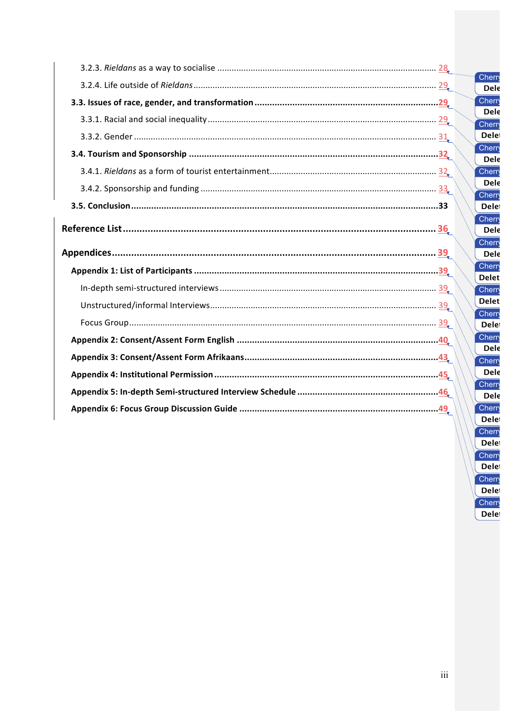|  | Cherr<br><b>Dele</b>   |
|--|------------------------|
|  | Cherry                 |
|  | Dele<br><b>Cherry</b>  |
|  | <b>Delet</b>           |
|  | Cherry<br>Dele         |
|  | Cherry                 |
|  | Dele                   |
|  | Cherry<br><b>Delet</b> |
|  | Cherr<br>Dele          |
|  | Cherry<br><b>Dele</b>  |
|  | Cherry<br><b>Delet</b> |
|  | Cherry                 |
|  | <b>Delet</b>           |
|  | Cherr<br><b>Delet</b>  |
|  | <b>Cherry</b>          |
|  | Dele<br>Cherry         |
|  | Dele                   |
|  | Cherry                 |
|  | Dele<br>Cherr          |
|  | <b>Delet</b>           |

Cherry

 $\overline{\text{Delete}}$ Cherry **Delet** Cherry **Delet** Cherry **Delet**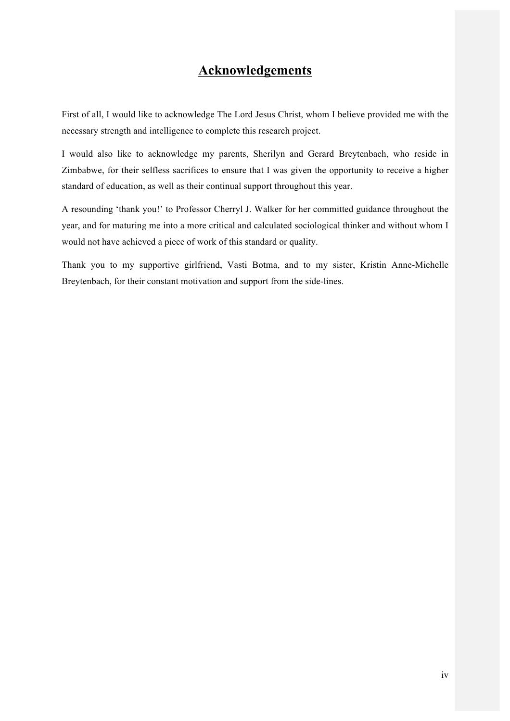# **Acknowledgements**

First of all, I would like to acknowledge The Lord Jesus Christ, whom I believe provided me with the necessary strength and intelligence to complete this research project.

I would also like to acknowledge my parents, Sherilyn and Gerard Breytenbach, who reside in Zimbabwe, for their selfless sacrifices to ensure that I was given the opportunity to receive a higher standard of education, as well as their continual support throughout this year.

A resounding 'thank you!' to Professor Cherryl J. Walker for her committed guidance throughout the year, and for maturing me into a more critical and calculated sociological thinker and without whom I would not have achieved a piece of work of this standard or quality.

Thank you to my supportive girlfriend, Vasti Botma, and to my sister, Kristin Anne-Michelle Breytenbach, for their constant motivation and support from the side-lines.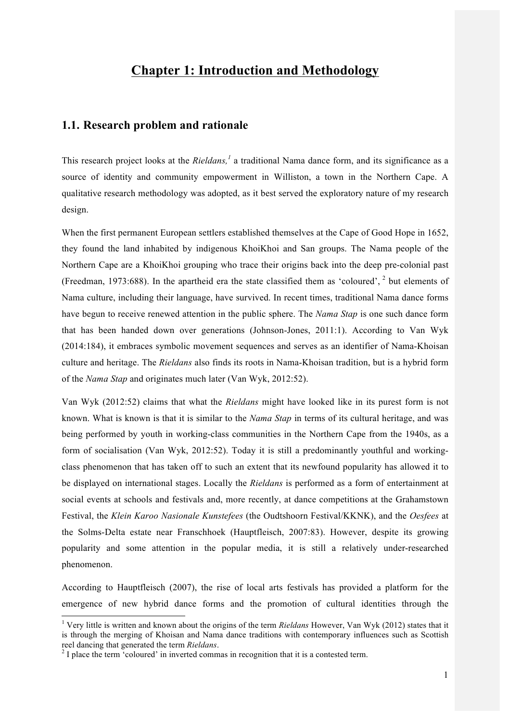# **Chapter 1: Introduction and Methodology**

## **1.1. Research problem and rationale**

This research project looks at the *Rieldans*,<sup>1</sup> a traditional Nama dance form, and its significance as a source of identity and community empowerment in Williston, a town in the Northern Cape. A qualitative research methodology was adopted, as it best served the exploratory nature of my research design.

When the first permanent European settlers established themselves at the Cape of Good Hope in 1652, they found the land inhabited by indigenous KhoiKhoi and San groups. The Nama people of the Northern Cape are a KhoiKhoi grouping who trace their origins back into the deep pre-colonial past (Freedman, 1973:688). In the apartheid era the state classified them as 'coloured',  $2$  but elements of Nama culture, including their language, have survived. In recent times, traditional Nama dance forms have begun to receive renewed attention in the public sphere. The *Nama Stap* is one such dance form that has been handed down over generations (Johnson-Jones, 2011:1). According to Van Wyk (2014:184), it embraces symbolic movement sequences and serves as an identifier of Nama-Khoisan culture and heritage. The *Rieldans* also finds its roots in Nama-Khoisan tradition, but is a hybrid form of the *Nama Stap* and originates much later (Van Wyk, 2012:52).

Van Wyk (2012:52) claims that what the *Rieldans* might have looked like in its purest form is not known. What is known is that it is similar to the *Nama Stap* in terms of its cultural heritage, and was being performed by youth in working-class communities in the Northern Cape from the 1940s, as a form of socialisation (Van Wyk, 2012:52). Today it is still a predominantly youthful and workingclass phenomenon that has taken off to such an extent that its newfound popularity has allowed it to be displayed on international stages. Locally the *Rieldans* is performed as a form of entertainment at social events at schools and festivals and, more recently, at dance competitions at the Grahamstown Festival, the *Klein Karoo Nasionale Kunstefees* (the Oudtshoorn Festival/KKNK), and the *Oesfees* at the Solms-Delta estate near Franschhoek (Hauptfleisch, 2007:83). However, despite its growing popularity and some attention in the popular media, it is still a relatively under-researched phenomenon.

According to Hauptfleisch (2007), the rise of local arts festivals has provided a platform for the emergence of new hybrid dance forms and the promotion of cultural identities through the

 <sup>1</sup> Very little is written and known about the origins of the term *Rieldans* However, Van Wyk (2012) states that it is through the merging of Khoisan and Nama dance traditions with contemporary influences such as Scottish reel dancing that generated the term Rieldans.

<sup>&</sup>lt;sup>2</sup> I place the term 'coloured' in inverted commas in recognition that it is a contested term.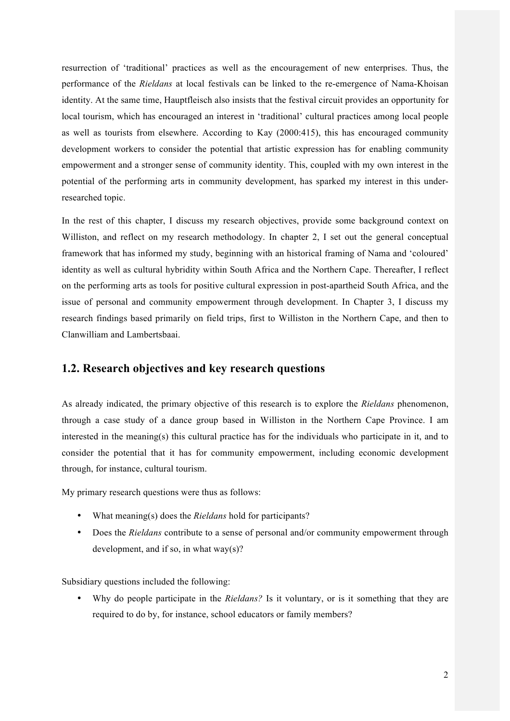resurrection of 'traditional' practices as well as the encouragement of new enterprises. Thus, the performance of the *Rieldans* at local festivals can be linked to the re-emergence of Nama-Khoisan identity. At the same time, Hauptfleisch also insists that the festival circuit provides an opportunity for local tourism, which has encouraged an interest in 'traditional' cultural practices among local people as well as tourists from elsewhere. According to Kay (2000:415), this has encouraged community development workers to consider the potential that artistic expression has for enabling community empowerment and a stronger sense of community identity. This, coupled with my own interest in the potential of the performing arts in community development, has sparked my interest in this underresearched topic.

In the rest of this chapter, I discuss my research objectives, provide some background context on Williston, and reflect on my research methodology. In chapter 2, I set out the general conceptual framework that has informed my study, beginning with an historical framing of Nama and 'coloured' identity as well as cultural hybridity within South Africa and the Northern Cape. Thereafter, I reflect on the performing arts as tools for positive cultural expression in post-apartheid South Africa, and the issue of personal and community empowerment through development. In Chapter 3, I discuss my research findings based primarily on field trips, first to Williston in the Northern Cape, and then to Clanwilliam and Lambertsbaai.

## **1.2. Research objectives and key research questions**

As already indicated, the primary objective of this research is to explore the *Rieldans* phenomenon, through a case study of a dance group based in Williston in the Northern Cape Province. I am interested in the meaning(s) this cultural practice has for the individuals who participate in it, and to consider the potential that it has for community empowerment, including economic development through, for instance, cultural tourism.

My primary research questions were thus as follows:

- What meaning(s) does the *Rieldans* hold for participants?
- Does the *Rieldans* contribute to a sense of personal and/or community empowerment through development, and if so, in what way(s)?

Subsidiary questions included the following:

• Why do people participate in the *Rieldans?* Is it voluntary, or is it something that they are required to do by, for instance, school educators or family members?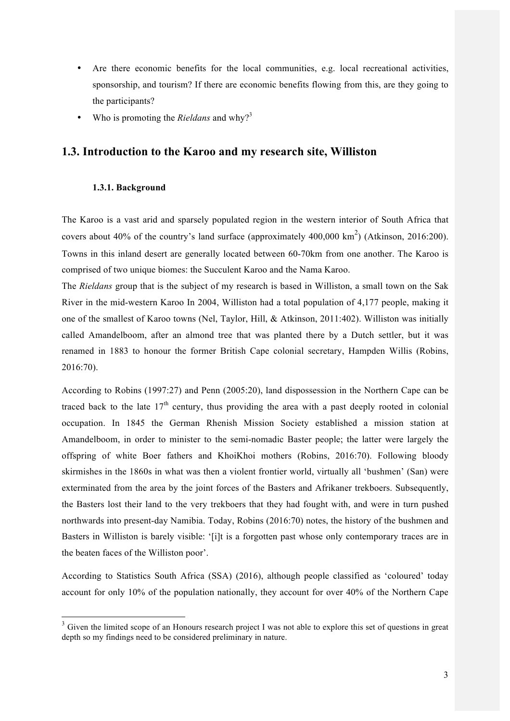- Are there economic benefits for the local communities, e.g. local recreational activities, sponsorship, and tourism? If there are economic benefits flowing from this, are they going to the participants?
- Who is promoting the *Rieldans* and why?<sup>3</sup>

## **1.3. Introduction to the Karoo and my research site, Williston**

#### **1.3.1. Background**

The Karoo is a vast arid and sparsely populated region in the western interior of South Africa that covers about 40% of the country's land surface (approximately 400,000  $\text{km}^2$ ) (Atkinson, 2016:200). Towns in this inland desert are generally located between 60-70km from one another. The Karoo is comprised of two unique biomes: the Succulent Karoo and the Nama Karoo.

The *Rieldans* group that is the subject of my research is based in Williston, a small town on the Sak River in the mid-western Karoo In 2004, Williston had a total population of 4,177 people, making it one of the smallest of Karoo towns (Nel, Taylor, Hill, & Atkinson, 2011:402). Williston was initially called Amandelboom, after an almond tree that was planted there by a Dutch settler, but it was renamed in 1883 to honour the former British Cape colonial secretary, Hampden Willis (Robins, 2016:70).

According to Robins (1997:27) and Penn (2005:20), land dispossession in the Northern Cape can be traced back to the late  $17<sup>th</sup>$  century, thus providing the area with a past deeply rooted in colonial occupation. In 1845 the German Rhenish Mission Society established a mission station at Amandelboom, in order to minister to the semi-nomadic Baster people; the latter were largely the offspring of white Boer fathers and KhoiKhoi mothers (Robins, 2016:70). Following bloody skirmishes in the 1860s in what was then a violent frontier world, virtually all 'bushmen' (San) were exterminated from the area by the joint forces of the Basters and Afrikaner trekboers. Subsequently, the Basters lost their land to the very trekboers that they had fought with, and were in turn pushed northwards into present-day Namibia. Today, Robins (2016:70) notes, the history of the bushmen and Basters in Williston is barely visible: '[i]t is a forgotten past whose only contemporary traces are in the beaten faces of the Williston poor'.

According to Statistics South Africa (SSA) (2016), although people classified as 'coloured' today account for only 10% of the population nationally, they account for over 40% of the Northern Cape

<sup>&</sup>lt;sup>3</sup> Given the limited scope of an Honours research project I was not able to explore this set of questions in great depth so my findings need to be considered preliminary in nature.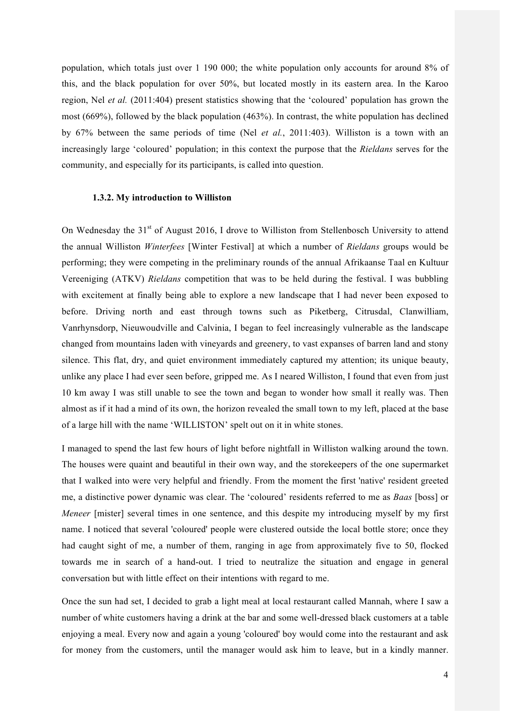population, which totals just over 1 190 000; the white population only accounts for around 8% of this, and the black population for over 50%, but located mostly in its eastern area. In the Karoo region, Nel *et al.* (2011:404) present statistics showing that the 'coloured' population has grown the most (669%), followed by the black population (463%). In contrast, the white population has declined by 67% between the same periods of time (Nel *et al.*, 2011:403). Williston is a town with an increasingly large 'coloured' population; in this context the purpose that the *Rieldans* serves for the community, and especially for its participants, is called into question.

#### **1.3.2. My introduction to Williston**

On Wednesday the 31<sup>st</sup> of August 2016, I drove to Williston from Stellenbosch University to attend the annual Williston *Winterfees* [Winter Festival] at which a number of *Rieldans* groups would be performing; they were competing in the preliminary rounds of the annual Afrikaanse Taal en Kultuur Vereeniging (ATKV) *Rieldans* competition that was to be held during the festival. I was bubbling with excitement at finally being able to explore a new landscape that I had never been exposed to before. Driving north and east through towns such as Piketberg, Citrusdal, Clanwilliam, Vanrhynsdorp, Nieuwoudville and Calvinia, I began to feel increasingly vulnerable as the landscape changed from mountains laden with vineyards and greenery, to vast expanses of barren land and stony silence. This flat, dry, and quiet environment immediately captured my attention; its unique beauty, unlike any place I had ever seen before, gripped me. As I neared Williston, I found that even from just 10 km away I was still unable to see the town and began to wonder how small it really was. Then almost as if it had a mind of its own, the horizon revealed the small town to my left, placed at the base of a large hill with the name 'WILLISTON' spelt out on it in white stones.

I managed to spend the last few hours of light before nightfall in Williston walking around the town. The houses were quaint and beautiful in their own way, and the storekeepers of the one supermarket that I walked into were very helpful and friendly. From the moment the first 'native' resident greeted me, a distinctive power dynamic was clear. The 'coloured' residents referred to me as *Baas* [boss] or *Meneer* [mister] several times in one sentence, and this despite my introducing myself by my first name. I noticed that several 'coloured' people were clustered outside the local bottle store; once they had caught sight of me, a number of them, ranging in age from approximately five to 50, flocked towards me in search of a hand-out. I tried to neutralize the situation and engage in general conversation but with little effect on their intentions with regard to me.

Once the sun had set, I decided to grab a light meal at local restaurant called Mannah, where I saw a number of white customers having a drink at the bar and some well-dressed black customers at a table enjoying a meal. Every now and again a young 'coloured' boy would come into the restaurant and ask for money from the customers, until the manager would ask him to leave, but in a kindly manner.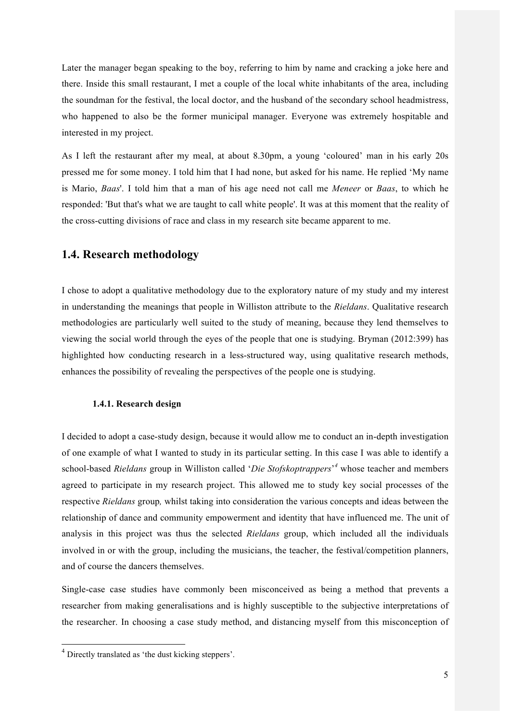Later the manager began speaking to the boy, referring to him by name and cracking a joke here and there. Inside this small restaurant, I met a couple of the local white inhabitants of the area, including the soundman for the festival, the local doctor, and the husband of the secondary school headmistress, who happened to also be the former municipal manager. Everyone was extremely hospitable and interested in my project.

As I left the restaurant after my meal, at about 8.30pm, a young 'coloured' man in his early 20s pressed me for some money. I told him that I had none, but asked for his name. He replied 'My name is Mario, *Baas*'. I told him that a man of his age need not call me *Meneer* or *Baas*, to which he responded: 'But that's what we are taught to call white people'. It was at this moment that the reality of the cross-cutting divisions of race and class in my research site became apparent to me.

## **1.4. Research methodology**

I chose to adopt a qualitative methodology due to the exploratory nature of my study and my interest in understanding the meanings that people in Williston attribute to the *Rieldans*. Qualitative research methodologies are particularly well suited to the study of meaning, because they lend themselves to viewing the social world through the eyes of the people that one is studying. Bryman (2012:399) has highlighted how conducting research in a less-structured way, using qualitative research methods, enhances the possibility of revealing the perspectives of the people one is studying.

#### **1.4.1. Research design**

I decided to adopt a case-study design, because it would allow me to conduct an in-depth investigation of one example of what I wanted to study in its particular setting. In this case I was able to identify a school-based *Rieldans* group in Williston called '*Die Stofskoptrappers*' *<sup>4</sup>* whose teacher and members agreed to participate in my research project. This allowed me to study key social processes of the respective *Rieldans* group*,* whilst taking into consideration the various concepts and ideas between the relationship of dance and community empowerment and identity that have influenced me. The unit of analysis in this project was thus the selected *Rieldans* group, which included all the individuals involved in or with the group, including the musicians, the teacher, the festival/competition planners, and of course the dancers themselves.

Single-case case studies have commonly been misconceived as being a method that prevents a researcher from making generalisations and is highly susceptible to the subjective interpretations of the researcher. In choosing a case study method, and distancing myself from this misconception of

 <sup>4</sup> Directly translated as 'the dust kicking steppers'.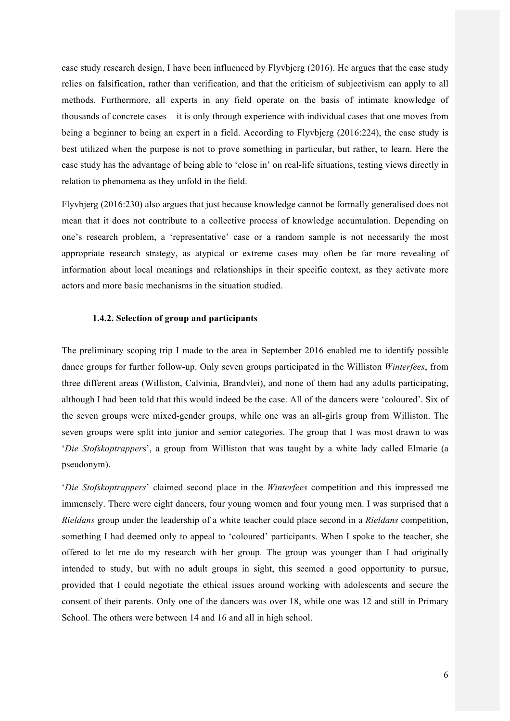case study research design, I have been influenced by Flyvbjerg (2016). He argues that the case study relies on falsification, rather than verification, and that the criticism of subjectivism can apply to all methods. Furthermore, all experts in any field operate on the basis of intimate knowledge of thousands of concrete cases – it is only through experience with individual cases that one moves from being a beginner to being an expert in a field. According to Flyvbjerg (2016:224), the case study is best utilized when the purpose is not to prove something in particular, but rather, to learn. Here the case study has the advantage of being able to 'close in' on real-life situations, testing views directly in relation to phenomena as they unfold in the field.

Flyvbjerg (2016:230) also argues that just because knowledge cannot be formally generalised does not mean that it does not contribute to a collective process of knowledge accumulation. Depending on one's research problem, a 'representative' case or a random sample is not necessarily the most appropriate research strategy, as atypical or extreme cases may often be far more revealing of information about local meanings and relationships in their specific context, as they activate more actors and more basic mechanisms in the situation studied.

#### **1.4.2. Selection of group and participants**

The preliminary scoping trip I made to the area in September 2016 enabled me to identify possible dance groups for further follow-up. Only seven groups participated in the Williston *Winterfees*, from three different areas (Williston, Calvinia, Brandvlei), and none of them had any adults participating, although I had been told that this would indeed be the case. All of the dancers were 'coloured'. Six of the seven groups were mixed-gender groups, while one was an all-girls group from Williston. The seven groups were split into junior and senior categories. The group that I was most drawn to was '*Die Stofskoptrapper*s', a group from Williston that was taught by a white lady called Elmarie (a pseudonym).

'*Die Stofskoptrappers*' claimed second place in the *Winterfees* competition and this impressed me immensely. There were eight dancers, four young women and four young men. I was surprised that a *Rieldans* group under the leadership of a white teacher could place second in a *Rieldans* competition, something I had deemed only to appeal to 'coloured' participants. When I spoke to the teacher, she offered to let me do my research with her group. The group was younger than I had originally intended to study, but with no adult groups in sight, this seemed a good opportunity to pursue, provided that I could negotiate the ethical issues around working with adolescents and secure the consent of their parents. Only one of the dancers was over 18, while one was 12 and still in Primary School. The others were between 14 and 16 and all in high school.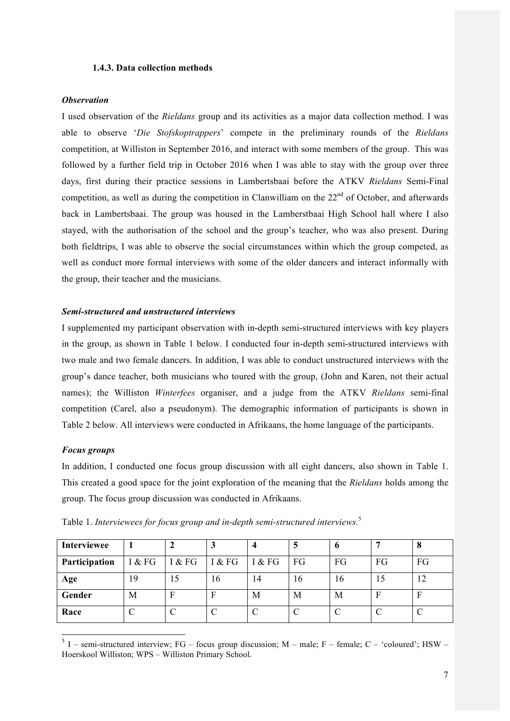#### **1.4.3. Data collection methods**

#### *Observation*

I used observation of the *Rieldans* group and its activities as a major data collection method. I was able to observe '*Die Stofskoptrappers*' compete in the preliminary rounds of the *Rieldans*  competition, at Williston in September 2016, and interact with some members of the group. This was followed by a further field trip in October 2016 when I was able to stay with the group over three days, first during their practice sessions in Lambertsbaai before the ATKV *Rieldans* Semi-Final competition, as well as during the competition in Clanwilliam on the 22<sup>nd</sup> of October, and afterwards back in Lambertsbaai. The group was housed in the Lamberstbaai High School hall where I also stayed, with the authorisation of the school and the group's teacher, who was also present. During both fieldtrips, I was able to observe the social circumstances within which the group competed, as well as conduct more formal interviews with some of the older dancers and interact informally with the group, their teacher and the musicians.

#### *Semi-structured and unstructured interviews*

I supplemented my participant observation with in-depth semi-structured interviews with key players in the group, as shown in Table 1 below. I conducted four in-depth semi-structured interviews with two male and two female dancers. In addition, I was able to conduct unstructured interviews with the group's dance teacher, both musicians who toured with the group, (John and Karen, not their actual names); the Williston *Winterfees* organiser, and a judge from the ATKV *Rieldans* semi-final competition (Carel, also a pseudonym). The demographic information of participants is shown in Table 2 below. All interviews were conducted in Afrikaans, the home language of the participants.

#### *Focus groups*

In addition, I conducted one focus group discussion with all eight dancers, also shown in Table 1. This created a good space for the joint exploration of the meaning that the *Rieldans* holds among the group. The focus group discussion was conducted in Afrikaans.

| <b>Interviewee</b> |        |        |        |        |    |    |    | $\mathbf o$ |
|--------------------|--------|--------|--------|--------|----|----|----|-------------|
| Participation      | I & FG | I & FG | I & FG | I & FG | FG | FG | FG | FG          |
| Age                | 19     | 15     | 16     | 14     | 16 | 16 | LJ |             |
| Gender             | M      | Е      | F      | М      | М  | М  | F  | F           |
| Race               |        |        |        |        |    |    |    |             |

Table 1. *Interviewees for focus group and in-depth semi-structured interviews.*<sup>5</sup>

 $5$  I – semi-structured interview; FG – focus group discussion; M – male; F – female; C – 'coloured'; HSW – Hoerskool Williston; WPS – Williston Primary School.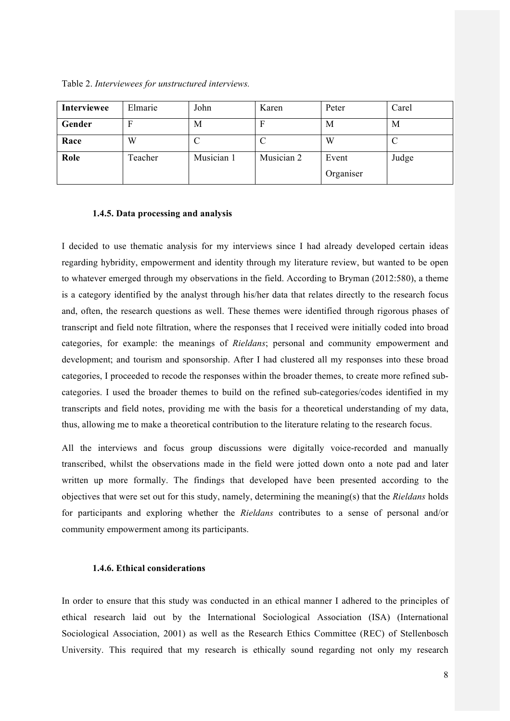Table 2. *Interviewees for unstructured interviews.*

| Interviewee | Elmarie | John       | Karen      | Peter     | Carel |
|-------------|---------|------------|------------|-----------|-------|
| Gender      |         | M          |            | M         | M     |
| Race        | W       |            |            | W         |       |
| Role        | Teacher | Musician 1 | Musician 2 | Event     | Judge |
|             |         |            |            | Organiser |       |

#### **1.4.5. Data processing and analysis**

I decided to use thematic analysis for my interviews since I had already developed certain ideas regarding hybridity, empowerment and identity through my literature review, but wanted to be open to whatever emerged through my observations in the field. According to Bryman (2012:580), a theme is a category identified by the analyst through his/her data that relates directly to the research focus and, often, the research questions as well. These themes were identified through rigorous phases of transcript and field note filtration, where the responses that I received were initially coded into broad categories, for example: the meanings of *Rieldans*; personal and community empowerment and development; and tourism and sponsorship. After I had clustered all my responses into these broad categories, I proceeded to recode the responses within the broader themes, to create more refined subcategories. I used the broader themes to build on the refined sub-categories/codes identified in my transcripts and field notes, providing me with the basis for a theoretical understanding of my data, thus, allowing me to make a theoretical contribution to the literature relating to the research focus.

All the interviews and focus group discussions were digitally voice-recorded and manually transcribed, whilst the observations made in the field were jotted down onto a note pad and later written up more formally. The findings that developed have been presented according to the objectives that were set out for this study, namely, determining the meaning(s) that the *Rieldans* holds for participants and exploring whether the *Rieldans* contributes to a sense of personal and/or community empowerment among its participants.

#### **1.4.6. Ethical considerations**

In order to ensure that this study was conducted in an ethical manner I adhered to the principles of ethical research laid out by the International Sociological Association (ISA) (International Sociological Association, 2001) as well as the Research Ethics Committee (REC) of Stellenbosch University. This required that my research is ethically sound regarding not only my research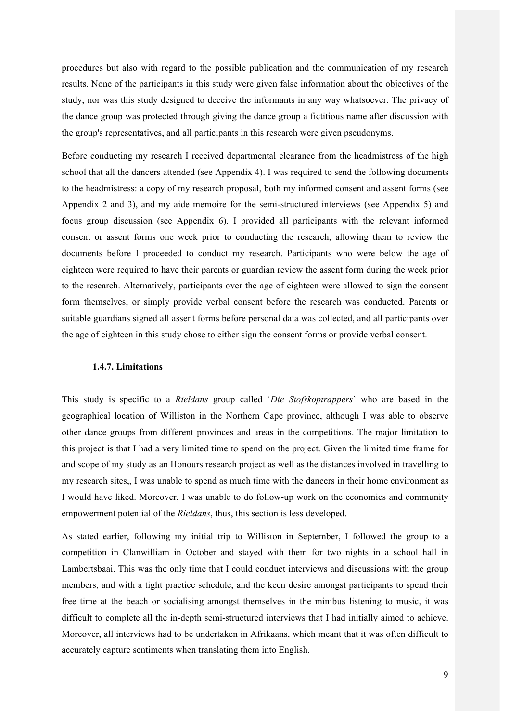procedures but also with regard to the possible publication and the communication of my research results. None of the participants in this study were given false information about the objectives of the study, nor was this study designed to deceive the informants in any way whatsoever. The privacy of the dance group was protected through giving the dance group a fictitious name after discussion with the group's representatives, and all participants in this research were given pseudonyms.

Before conducting my research I received departmental clearance from the headmistress of the high school that all the dancers attended (see Appendix 4). I was required to send the following documents to the headmistress: a copy of my research proposal, both my informed consent and assent forms (see Appendix 2 and 3), and my aide memoire for the semi-structured interviews (see Appendix 5) and focus group discussion (see Appendix 6). I provided all participants with the relevant informed consent or assent forms one week prior to conducting the research, allowing them to review the documents before I proceeded to conduct my research. Participants who were below the age of eighteen were required to have their parents or guardian review the assent form during the week prior to the research. Alternatively, participants over the age of eighteen were allowed to sign the consent form themselves, or simply provide verbal consent before the research was conducted. Parents or suitable guardians signed all assent forms before personal data was collected, and all participants over the age of eighteen in this study chose to either sign the consent forms or provide verbal consent.

#### **1.4.7. Limitations**

This study is specific to a *Rieldans* group called '*Die Stofskoptrappers*' who are based in the geographical location of Williston in the Northern Cape province, although I was able to observe other dance groups from different provinces and areas in the competitions. The major limitation to this project is that I had a very limited time to spend on the project. Given the limited time frame for and scope of my study as an Honours research project as well as the distances involved in travelling to my research sites,, I was unable to spend as much time with the dancers in their home environment as I would have liked. Moreover, I was unable to do follow-up work on the economics and community empowerment potential of the *Rieldans*, thus, this section is less developed.

As stated earlier, following my initial trip to Williston in September, I followed the group to a competition in Clanwilliam in October and stayed with them for two nights in a school hall in Lambertsbaai. This was the only time that I could conduct interviews and discussions with the group members, and with a tight practice schedule, and the keen desire amongst participants to spend their free time at the beach or socialising amongst themselves in the minibus listening to music, it was difficult to complete all the in-depth semi-structured interviews that I had initially aimed to achieve. Moreover, all interviews had to be undertaken in Afrikaans, which meant that it was often difficult to accurately capture sentiments when translating them into English.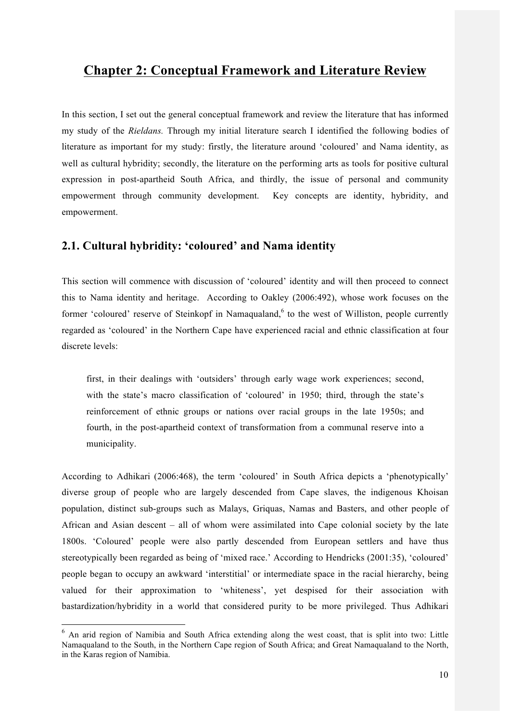## **Chapter 2: Conceptual Framework and Literature Review**

In this section, I set out the general conceptual framework and review the literature that has informed my study of the *Rieldans.* Through my initial literature search I identified the following bodies of literature as important for my study: firstly, the literature around 'coloured' and Nama identity, as well as cultural hybridity; secondly, the literature on the performing arts as tools for positive cultural expression in post-apartheid South Africa, and thirdly, the issue of personal and community empowerment through community development. Key concepts are identity, hybridity, and empowerment.

## **2.1. Cultural hybridity: 'coloured' and Nama identity**

This section will commence with discussion of 'coloured' identity and will then proceed to connect this to Nama identity and heritage. According to Oakley (2006:492), whose work focuses on the former 'coloured' reserve of Steinkopf in Namaqualand,<sup>6</sup> to the west of Williston, people currently regarded as 'coloured' in the Northern Cape have experienced racial and ethnic classification at four discrete levels:

first, in their dealings with 'outsiders' through early wage work experiences; second, with the state's macro classification of 'coloured' in 1950; third, through the state's reinforcement of ethnic groups or nations over racial groups in the late 1950s; and fourth, in the post-apartheid context of transformation from a communal reserve into a municipality.

According to Adhikari (2006:468), the term 'coloured' in South Africa depicts a 'phenotypically' diverse group of people who are largely descended from Cape slaves, the indigenous Khoisan population, distinct sub-groups such as Malays, Griquas, Namas and Basters, and other people of African and Asian descent – all of whom were assimilated into Cape colonial society by the late 1800s. 'Coloured' people were also partly descended from European settlers and have thus stereotypically been regarded as being of 'mixed race.' According to Hendricks (2001:35), 'coloured' people began to occupy an awkward 'interstitial' or intermediate space in the racial hierarchy, being valued for their approximation to 'whiteness', yet despised for their association with bastardization/hybridity in a world that considered purity to be more privileged. Thus Adhikari

 <sup>6</sup> An arid region of Namibia and South Africa extending along the west coast, that is split into two: Little Namaqualand to the South, in the Northern Cape region of South Africa; and Great Namaqualand to the North, in the Karas region of Namibia.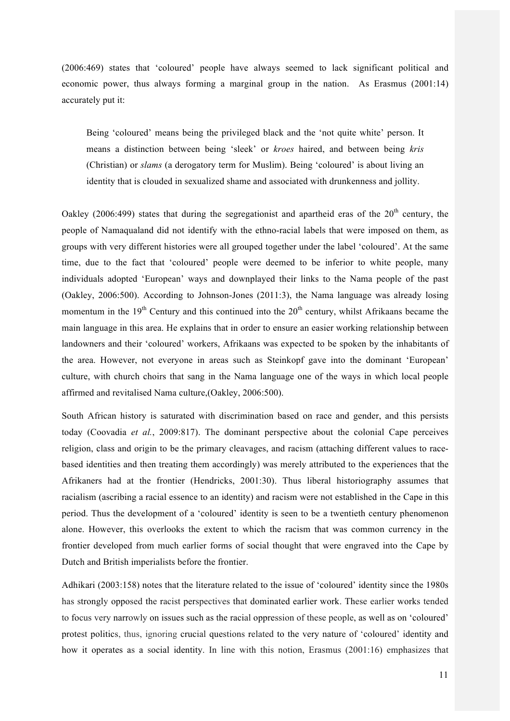(2006:469) states that 'coloured' people have always seemed to lack significant political and economic power, thus always forming a marginal group in the nation. As Erasmus (2001:14) accurately put it:

Being 'coloured' means being the privileged black and the 'not quite white' person. It means a distinction between being 'sleek' or *kroes* haired, and between being *kris*  (Christian) or *slams* (a derogatory term for Muslim). Being 'coloured' is about living an identity that is clouded in sexualized shame and associated with drunkenness and jollity.

Oakley (2006:499) states that during the segregationist and apartheid eras of the  $20<sup>th</sup>$  century, the people of Namaqualand did not identify with the ethno-racial labels that were imposed on them, as groups with very different histories were all grouped together under the label 'coloured'. At the same time, due to the fact that 'coloured' people were deemed to be inferior to white people, many individuals adopted 'European' ways and downplayed their links to the Nama people of the past (Oakley, 2006:500). According to Johnson-Jones (2011:3), the Nama language was already losing momentum in the  $19<sup>th</sup>$  Century and this continued into the  $20<sup>th</sup>$  century, whilst Afrikaans became the main language in this area. He explains that in order to ensure an easier working relationship between landowners and their 'coloured' workers, Afrikaans was expected to be spoken by the inhabitants of the area. However, not everyone in areas such as Steinkopf gave into the dominant 'European' culture, with church choirs that sang in the Nama language one of the ways in which local people affirmed and revitalised Nama culture,(Oakley, 2006:500).

South African history is saturated with discrimination based on race and gender, and this persists today (Coovadia *et al.*, 2009:817). The dominant perspective about the colonial Cape perceives religion, class and origin to be the primary cleavages, and racism (attaching different values to racebased identities and then treating them accordingly) was merely attributed to the experiences that the Afrikaners had at the frontier (Hendricks, 2001:30). Thus liberal historiography assumes that racialism (ascribing a racial essence to an identity) and racism were not established in the Cape in this period. Thus the development of a 'coloured' identity is seen to be a twentieth century phenomenon alone. However, this overlooks the extent to which the racism that was common currency in the frontier developed from much earlier forms of social thought that were engraved into the Cape by Dutch and British imperialists before the frontier.

Adhikari (2003:158) notes that the literature related to the issue of 'coloured' identity since the 1980s has strongly opposed the racist perspectives that dominated earlier work. These earlier works tended to focus very narrowly on issues such as the racial oppression of these people, as well as on 'coloured' protest politics, thus, ignoring crucial questions related to the very nature of 'coloured' identity and how it operates as a social identity. In line with this notion, Erasmus (2001:16) emphasizes that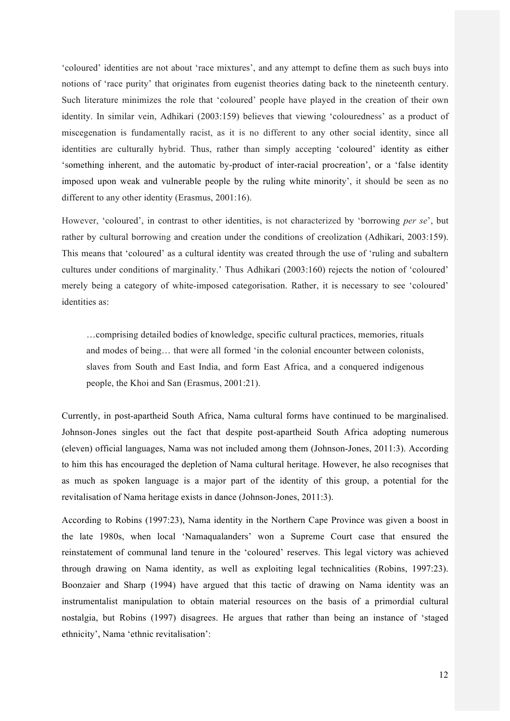'coloured' identities are not about 'race mixtures', and any attempt to define them as such buys into notions of 'race purity' that originates from eugenist theories dating back to the nineteenth century. Such literature minimizes the role that 'coloured' people have played in the creation of their own identity. In similar vein, Adhikari (2003:159) believes that viewing 'colouredness' as a product of miscegenation is fundamentally racist, as it is no different to any other social identity, since all identities are culturally hybrid. Thus, rather than simply accepting 'coloured' identity as either 'something inherent, and the automatic by-product of inter-racial procreation', or a 'false identity imposed upon weak and vulnerable people by the ruling white minority', it should be seen as no different to any other identity (Erasmus, 2001:16).

However, 'coloured', in contrast to other identities, is not characterized by 'borrowing *per se*', but rather by cultural borrowing and creation under the conditions of creolization (Adhikari, 2003:159). This means that 'coloured' as a cultural identity was created through the use of 'ruling and subaltern cultures under conditions of marginality.' Thus Adhikari (2003:160) rejects the notion of 'coloured' merely being a category of white-imposed categorisation. Rather, it is necessary to see 'coloured' identities as:

…comprising detailed bodies of knowledge, specific cultural practices, memories, rituals and modes of being… that were all formed 'in the colonial encounter between colonists, slaves from South and East India, and form East Africa, and a conquered indigenous people, the Khoi and San (Erasmus, 2001:21).

Currently, in post-apartheid South Africa, Nama cultural forms have continued to be marginalised. Johnson-Jones singles out the fact that despite post-apartheid South Africa adopting numerous (eleven) official languages, Nama was not included among them (Johnson-Jones, 2011:3). According to him this has encouraged the depletion of Nama cultural heritage. However, he also recognises that as much as spoken language is a major part of the identity of this group, a potential for the revitalisation of Nama heritage exists in dance (Johnson-Jones, 2011:3).

According to Robins (1997:23), Nama identity in the Northern Cape Province was given a boost in the late 1980s, when local 'Namaqualanders' won a Supreme Court case that ensured the reinstatement of communal land tenure in the 'coloured' reserves. This legal victory was achieved through drawing on Nama identity, as well as exploiting legal technicalities (Robins, 1997:23). Boonzaier and Sharp (1994) have argued that this tactic of drawing on Nama identity was an instrumentalist manipulation to obtain material resources on the basis of a primordial cultural nostalgia, but Robins (1997) disagrees. He argues that rather than being an instance of 'staged ethnicity', Nama 'ethnic revitalisation':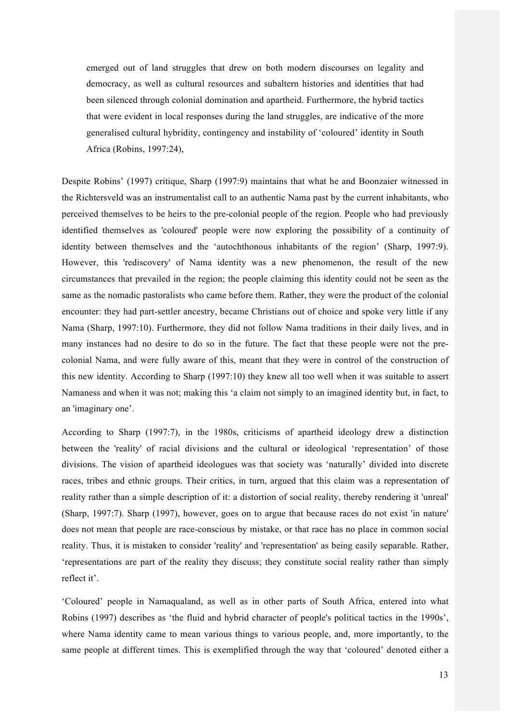emerged out of land struggles that drew on both modern discourses on legality and democracy, as well as cultural resources and subaltern histories and identities that had been silenced through colonial domination and apartheid. Furthermore, the hybrid tactics that were evident in local responses during the land struggles, are indicative of the more generalised cultural hybridity, contingency and instability of 'coloured' identity in South Africa (Robins, 1997:24),

Despite Robins' (1997) critique, Sharp (1997:9) maintains that what he and Boonzaier witnessed in the Richtersveld was an instrumentalist call to an authentic Nama past by the current inhabitants, who perceived themselves to be heirs to the pre-colonial people of the region. People who had previously identified themselves as 'coloured' people were now exploring the possibility of a continuity of identity between themselves and the 'autochthonous inhabitants of the region' (Sharp, 1997:9). However, this 'rediscovery' of Nama identity was a new phenomenon, the result of the new circumstances that prevailed in the region; the people claiming this identity could not be seen as the same as the nomadic pastoralists who came before them. Rather, they were the product of the colonial encounter: they had part-settler ancestry, became Christians out of choice and spoke very little if any Nama (Sharp, 1997:10). Furthermore, they did not follow Nama traditions in their daily lives, and in many instances had no desire to do so in the future. The fact that these people were not the precolonial Nama, and were fully aware of this, meant that they were in control of the construction of this new identity. According to Sharp (1997:10) they knew all too well when it was suitable to assert Namaness and when it was not; making this 'a claim not simply to an imagined identity but, in fact, to an 'imaginary one'.

According to Sharp (1997:7), in the 1980s, criticisms of apartheid ideology drew a distinction between the 'reality' of racial divisions and the cultural or ideological 'representation' of those divisions. The vision of apartheid ideologues was that society was 'naturally' divided into discrete races, tribes and ethnic groups. Their critics, in turn, argued that this claim was a representation of reality rather than a simple description of it: a distortion of social reality, thereby rendering it 'unreal' (Sharp, 1997:7). Sharp (1997), however, goes on to argue that because races do not exist 'in nature' does not mean that people are race-conscious by mistake, or that race has no place in common social reality. Thus, it is mistaken to consider 'reality' and 'representation' as being easily separable. Rather, 'representations are part of the reality they discuss; they constitute social reality rather than simply reflect it'.

'Coloured' people in Namaqualand, as well as in other parts of South Africa, entered into what Robins (1997) describes as 'the fluid and hybrid character of people's political tactics in the 1990s', where Nama identity came to mean various things to various people, and, more importantly, to the same people at different times. This is exemplified through the way that 'coloured' denoted either a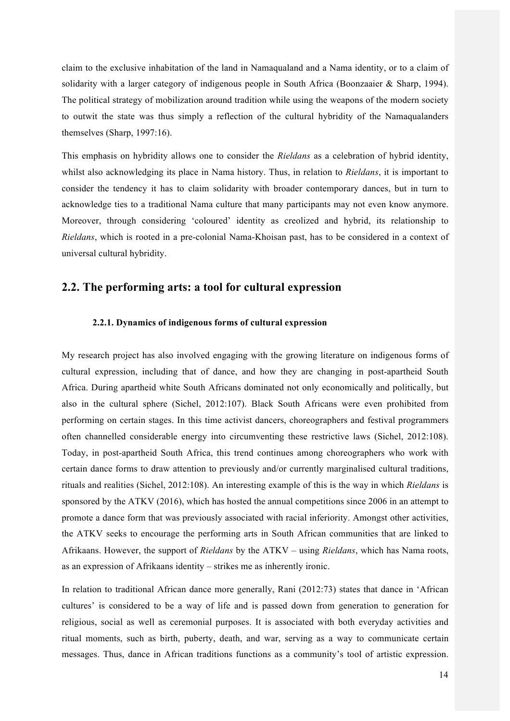claim to the exclusive inhabitation of the land in Namaqualand and a Nama identity, or to a claim of solidarity with a larger category of indigenous people in South Africa (Boonzaaier & Sharp, 1994). The political strategy of mobilization around tradition while using the weapons of the modern society to outwit the state was thus simply a reflection of the cultural hybridity of the Namaqualanders themselves (Sharp, 1997:16).

This emphasis on hybridity allows one to consider the *Rieldans* as a celebration of hybrid identity, whilst also acknowledging its place in Nama history. Thus, in relation to *Rieldans*, it is important to consider the tendency it has to claim solidarity with broader contemporary dances, but in turn to acknowledge ties to a traditional Nama culture that many participants may not even know anymore. Moreover, through considering 'coloured' identity as creolized and hybrid, its relationship to *Rieldans*, which is rooted in a pre-colonial Nama-Khoisan past, has to be considered in a context of universal cultural hybridity.

## **2.2. The performing arts: a tool for cultural expression**

#### **2.2.1. Dynamics of indigenous forms of cultural expression**

My research project has also involved engaging with the growing literature on indigenous forms of cultural expression, including that of dance, and how they are changing in post-apartheid South Africa. During apartheid white South Africans dominated not only economically and politically, but also in the cultural sphere (Sichel, 2012:107). Black South Africans were even prohibited from performing on certain stages. In this time activist dancers, choreographers and festival programmers often channelled considerable energy into circumventing these restrictive laws (Sichel, 2012:108). Today, in post-apartheid South Africa, this trend continues among choreographers who work with certain dance forms to draw attention to previously and/or currently marginalised cultural traditions, rituals and realities (Sichel, 2012:108). An interesting example of this is the way in which *Rieldans* is sponsored by the ATKV (2016), which has hosted the annual competitions since 2006 in an attempt to promote a dance form that was previously associated with racial inferiority. Amongst other activities, the ATKV seeks to encourage the performing arts in South African communities that are linked to Afrikaans. However, the support of *Rieldans* by the ATKV – using *Rieldans*, which has Nama roots, as an expression of Afrikaans identity – strikes me as inherently ironic.

In relation to traditional African dance more generally, Rani (2012:73) states that dance in 'African cultures' is considered to be a way of life and is passed down from generation to generation for religious, social as well as ceremonial purposes. It is associated with both everyday activities and ritual moments, such as birth, puberty, death, and war, serving as a way to communicate certain messages. Thus, dance in African traditions functions as a community's tool of artistic expression.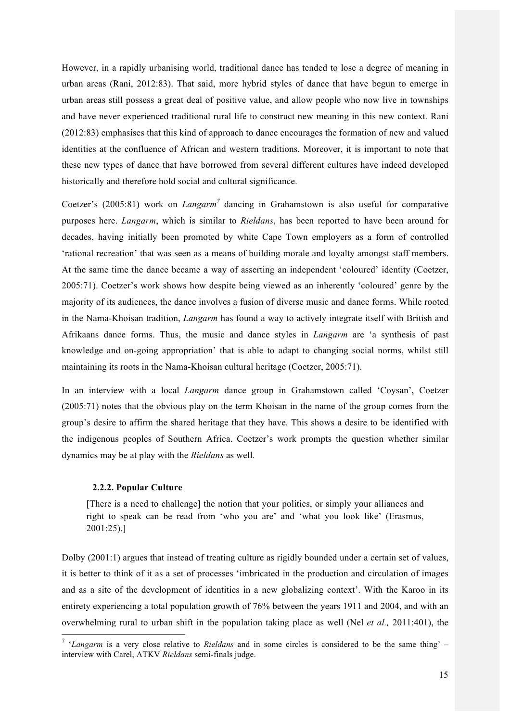However, in a rapidly urbanising world, traditional dance has tended to lose a degree of meaning in urban areas (Rani, 2012:83). That said, more hybrid styles of dance that have begun to emerge in urban areas still possess a great deal of positive value, and allow people who now live in townships and have never experienced traditional rural life to construct new meaning in this new context. Rani (2012:83) emphasises that this kind of approach to dance encourages the formation of new and valued identities at the confluence of African and western traditions. Moreover, it is important to note that these new types of dance that have borrowed from several different cultures have indeed developed historically and therefore hold social and cultural significance.

Coetzer's (2005:81) work on *Langarm<sup>7</sup>* dancing in Grahamstown is also useful for comparative purposes here. *Langarm*, which is similar to *Rieldans*, has been reported to have been around for decades, having initially been promoted by white Cape Town employers as a form of controlled 'rational recreation' that was seen as a means of building morale and loyalty amongst staff members. At the same time the dance became a way of asserting an independent 'coloured' identity (Coetzer, 2005:71). Coetzer's work shows how despite being viewed as an inherently 'coloured' genre by the majority of its audiences, the dance involves a fusion of diverse music and dance forms. While rooted in the Nama-Khoisan tradition, *Langarm* has found a way to actively integrate itself with British and Afrikaans dance forms. Thus, the music and dance styles in *Langarm* are 'a synthesis of past knowledge and on-going appropriation' that is able to adapt to changing social norms, whilst still maintaining its roots in the Nama-Khoisan cultural heritage (Coetzer, 2005:71).

In an interview with a local *Langarm* dance group in Grahamstown called 'Coysan', Coetzer (2005:71) notes that the obvious play on the term Khoisan in the name of the group comes from the group's desire to affirm the shared heritage that they have. This shows a desire to be identified with the indigenous peoples of Southern Africa. Coetzer's work prompts the question whether similar dynamics may be at play with the *Rieldans* as well.

#### **2.2.2. Popular Culture**

[There is a need to challenge] the notion that your politics, or simply your alliances and right to speak can be read from 'who you are' and 'what you look like' (Erasmus, 2001:25).]

Dolby (2001:1) argues that instead of treating culture as rigidly bounded under a certain set of values, it is better to think of it as a set of processes 'imbricated in the production and circulation of images and as a site of the development of identities in a new globalizing context'. With the Karoo in its entirety experiencing a total population growth of 76% between the years 1911 and 2004, and with an overwhelming rural to urban shift in the population taking place as well (Nel *et al.,* 2011:401), the

 <sup>7</sup> '*Langarm* is a very close relative to *Rieldans* and in some circles is considered to be the same thing' – interview with Carel, ATKV *Rieldans* semi-finals judge.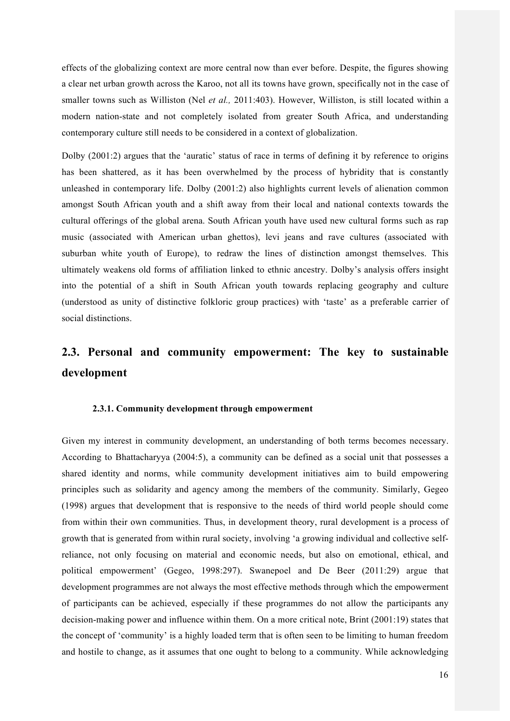effects of the globalizing context are more central now than ever before. Despite, the figures showing a clear net urban growth across the Karoo, not all its towns have grown, specifically not in the case of smaller towns such as Williston (Nel *et al.,* 2011:403). However, Williston, is still located within a modern nation-state and not completely isolated from greater South Africa, and understanding contemporary culture still needs to be considered in a context of globalization.

Dolby (2001:2) argues that the 'auratic' status of race in terms of defining it by reference to origins has been shattered, as it has been overwhelmed by the process of hybridity that is constantly unleashed in contemporary life. Dolby (2001:2) also highlights current levels of alienation common amongst South African youth and a shift away from their local and national contexts towards the cultural offerings of the global arena. South African youth have used new cultural forms such as rap music (associated with American urban ghettos), levi jeans and rave cultures (associated with suburban white youth of Europe), to redraw the lines of distinction amongst themselves. This ultimately weakens old forms of affiliation linked to ethnic ancestry. Dolby's analysis offers insight into the potential of a shift in South African youth towards replacing geography and culture (understood as unity of distinctive folkloric group practices) with 'taste' as a preferable carrier of social distinctions.

# **2.3. Personal and community empowerment: The key to sustainable development**

#### **2.3.1. Community development through empowerment**

Given my interest in community development, an understanding of both terms becomes necessary. According to Bhattacharyya (2004:5), a community can be defined as a social unit that possesses a shared identity and norms, while community development initiatives aim to build empowering principles such as solidarity and agency among the members of the community. Similarly, Gegeo (1998) argues that development that is responsive to the needs of third world people should come from within their own communities. Thus, in development theory, rural development is a process of growth that is generated from within rural society, involving 'a growing individual and collective selfreliance, not only focusing on material and economic needs, but also on emotional, ethical, and political empowerment' (Gegeo, 1998:297). Swanepoel and De Beer (2011:29) argue that development programmes are not always the most effective methods through which the empowerment of participants can be achieved, especially if these programmes do not allow the participants any decision-making power and influence within them. On a more critical note, Brint (2001:19) states that the concept of 'community' is a highly loaded term that is often seen to be limiting to human freedom and hostile to change, as it assumes that one ought to belong to a community. While acknowledging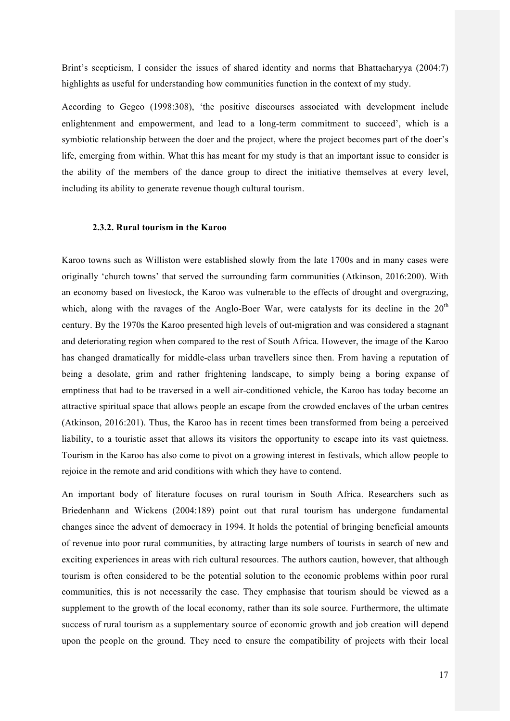Brint's scepticism, I consider the issues of shared identity and norms that Bhattacharyya (2004:7) highlights as useful for understanding how communities function in the context of my study.

According to Gegeo (1998:308), 'the positive discourses associated with development include enlightenment and empowerment, and lead to a long-term commitment to succeed', which is a symbiotic relationship between the doer and the project, where the project becomes part of the doer's life, emerging from within. What this has meant for my study is that an important issue to consider is the ability of the members of the dance group to direct the initiative themselves at every level, including its ability to generate revenue though cultural tourism.

#### **2.3.2. Rural tourism in the Karoo**

Karoo towns such as Williston were established slowly from the late 1700s and in many cases were originally 'church towns' that served the surrounding farm communities (Atkinson, 2016:200). With an economy based on livestock, the Karoo was vulnerable to the effects of drought and overgrazing, which, along with the ravages of the Anglo-Boer War, were catalysts for its decline in the  $20<sup>th</sup>$ century. By the 1970s the Karoo presented high levels of out-migration and was considered a stagnant and deteriorating region when compared to the rest of South Africa. However, the image of the Karoo has changed dramatically for middle-class urban travellers since then. From having a reputation of being a desolate, grim and rather frightening landscape, to simply being a boring expanse of emptiness that had to be traversed in a well air-conditioned vehicle, the Karoo has today become an attractive spiritual space that allows people an escape from the crowded enclaves of the urban centres (Atkinson, 2016:201). Thus, the Karoo has in recent times been transformed from being a perceived liability, to a touristic asset that allows its visitors the opportunity to escape into its vast quietness. Tourism in the Karoo has also come to pivot on a growing interest in festivals, which allow people to rejoice in the remote and arid conditions with which they have to contend.

An important body of literature focuses on rural tourism in South Africa. Researchers such as Briedenhann and Wickens (2004:189) point out that rural tourism has undergone fundamental changes since the advent of democracy in 1994. It holds the potential of bringing beneficial amounts of revenue into poor rural communities, by attracting large numbers of tourists in search of new and exciting experiences in areas with rich cultural resources. The authors caution, however, that although tourism is often considered to be the potential solution to the economic problems within poor rural communities, this is not necessarily the case. They emphasise that tourism should be viewed as a supplement to the growth of the local economy, rather than its sole source. Furthermore, the ultimate success of rural tourism as a supplementary source of economic growth and job creation will depend upon the people on the ground. They need to ensure the compatibility of projects with their local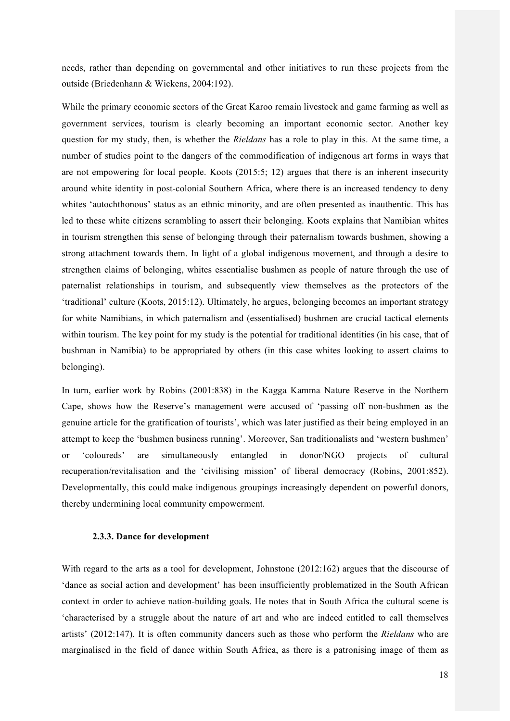needs, rather than depending on governmental and other initiatives to run these projects from the outside (Briedenhann & Wickens, 2004:192).

While the primary economic sectors of the Great Karoo remain livestock and game farming as well as government services, tourism is clearly becoming an important economic sector. Another key question for my study, then, is whether the *Rieldans* has a role to play in this. At the same time, a number of studies point to the dangers of the commodification of indigenous art forms in ways that are not empowering for local people. Koots (2015:5; 12) argues that there is an inherent insecurity around white identity in post-colonial Southern Africa, where there is an increased tendency to deny whites 'autochthonous' status as an ethnic minority, and are often presented as inauthentic. This has led to these white citizens scrambling to assert their belonging. Koots explains that Namibian whites in tourism strengthen this sense of belonging through their paternalism towards bushmen, showing a strong attachment towards them. In light of a global indigenous movement, and through a desire to strengthen claims of belonging, whites essentialise bushmen as people of nature through the use of paternalist relationships in tourism, and subsequently view themselves as the protectors of the 'traditional' culture (Koots, 2015:12). Ultimately, he argues, belonging becomes an important strategy for white Namibians, in which paternalism and (essentialised) bushmen are crucial tactical elements within tourism. The key point for my study is the potential for traditional identities (in his case, that of bushman in Namibia) to be appropriated by others (in this case whites looking to assert claims to belonging).

In turn, earlier work by Robins (2001:838) in the Kagga Kamma Nature Reserve in the Northern Cape, shows how the Reserve's management were accused of 'passing off non-bushmen as the genuine article for the gratification of tourists', which was later justified as their being employed in an attempt to keep the 'bushmen business running'. Moreover, San traditionalists and 'western bushmen' or 'coloureds' are simultaneously entangled in donor/NGO projects of cultural recuperation/revitalisation and the 'civilising mission' of liberal democracy (Robins, 2001:852). Developmentally, this could make indigenous groupings increasingly dependent on powerful donors, thereby undermining local community empowerment.

#### **2.3.3. Dance for development**

With regard to the arts as a tool for development, Johnstone (2012:162) argues that the discourse of 'dance as social action and development' has been insufficiently problematized in the South African context in order to achieve nation-building goals. He notes that in South Africa the cultural scene is 'characterised by a struggle about the nature of art and who are indeed entitled to call themselves artists' (2012:147). It is often community dancers such as those who perform the *Rieldans* who are marginalised in the field of dance within South Africa, as there is a patronising image of them as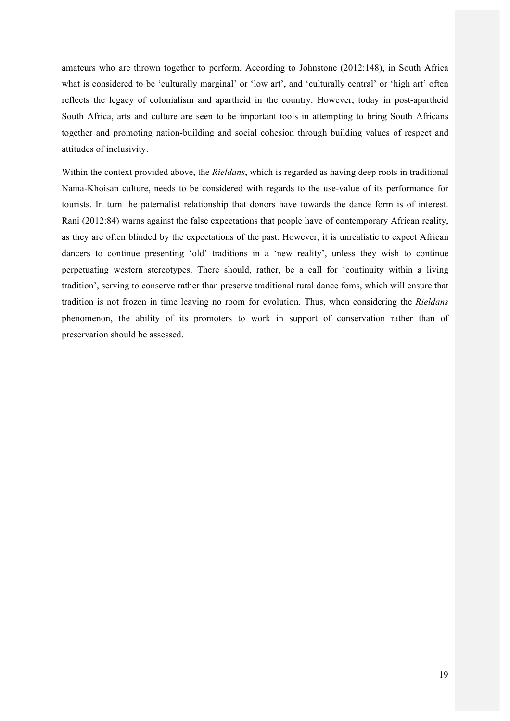amateurs who are thrown together to perform. According to Johnstone (2012:148), in South Africa what is considered to be 'culturally marginal' or 'low art', and 'culturally central' or 'high art' often reflects the legacy of colonialism and apartheid in the country. However, today in post-apartheid South Africa, arts and culture are seen to be important tools in attempting to bring South Africans together and promoting nation-building and social cohesion through building values of respect and attitudes of inclusivity.

Within the context provided above, the *Rieldans*, which is regarded as having deep roots in traditional Nama-Khoisan culture, needs to be considered with regards to the use-value of its performance for tourists. In turn the paternalist relationship that donors have towards the dance form is of interest. Rani (2012:84) warns against the false expectations that people have of contemporary African reality, as they are often blinded by the expectations of the past. However, it is unrealistic to expect African dancers to continue presenting 'old' traditions in a 'new reality', unless they wish to continue perpetuating western stereotypes. There should, rather, be a call for 'continuity within a living tradition', serving to conserve rather than preserve traditional rural dance foms, which will ensure that tradition is not frozen in time leaving no room for evolution. Thus, when considering the *Rieldans*  phenomenon, the ability of its promoters to work in support of conservation rather than of preservation should be assessed.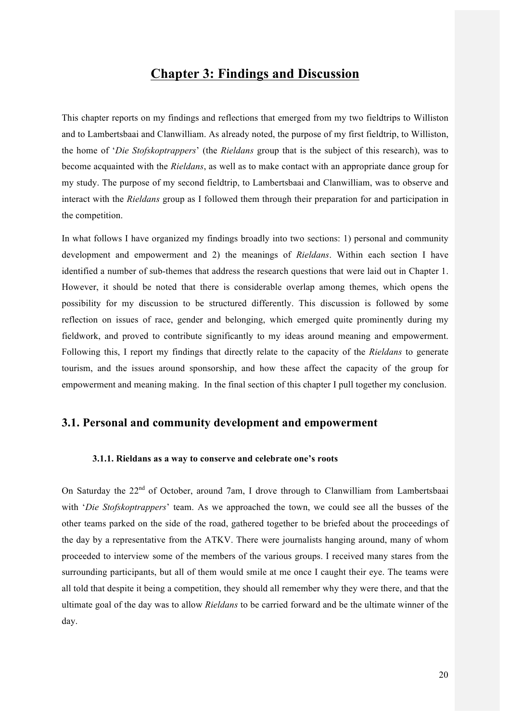# **Chapter 3: Findings and Discussion**

This chapter reports on my findings and reflections that emerged from my two fieldtrips to Williston and to Lambertsbaai and Clanwilliam. As already noted, the purpose of my first fieldtrip, to Williston, the home of '*Die Stofskoptrappers*' (the *Rieldans* group that is the subject of this research), was to become acquainted with the *Rieldans*, as well as to make contact with an appropriate dance group for my study. The purpose of my second fieldtrip, to Lambertsbaai and Clanwilliam, was to observe and interact with the *Rieldans* group as I followed them through their preparation for and participation in the competition.

In what follows I have organized my findings broadly into two sections: 1) personal and community development and empowerment and 2) the meanings of *Rieldans*. Within each section I have identified a number of sub-themes that address the research questions that were laid out in Chapter 1. However, it should be noted that there is considerable overlap among themes, which opens the possibility for my discussion to be structured differently. This discussion is followed by some reflection on issues of race, gender and belonging, which emerged quite prominently during my fieldwork, and proved to contribute significantly to my ideas around meaning and empowerment. Following this, I report my findings that directly relate to the capacity of the *Rieldans* to generate tourism, and the issues around sponsorship, and how these affect the capacity of the group for empowerment and meaning making. In the final section of this chapter I pull together my conclusion.

## **3.1. Personal and community development and empowerment**

#### **3.1.1. Rieldans as a way to conserve and celebrate one's roots**

On Saturday the 22<sup>nd</sup> of October, around 7am, I drove through to Clanwilliam from Lambertsbaai with '*Die Stofskoptrappers*' team. As we approached the town, we could see all the busses of the other teams parked on the side of the road, gathered together to be briefed about the proceedings of the day by a representative from the ATKV. There were journalists hanging around, many of whom proceeded to interview some of the members of the various groups. I received many stares from the surrounding participants, but all of them would smile at me once I caught their eye. The teams were all told that despite it being a competition, they should all remember why they were there, and that the ultimate goal of the day was to allow *Rieldans* to be carried forward and be the ultimate winner of the day.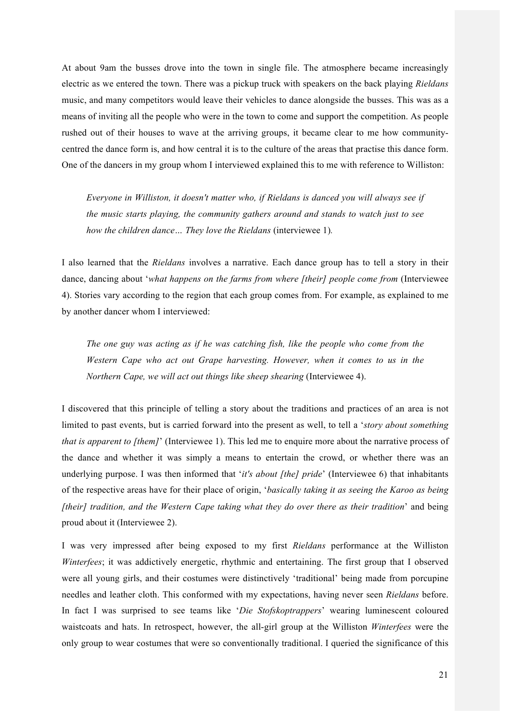At about 9am the busses drove into the town in single file. The atmosphere became increasingly electric as we entered the town. There was a pickup truck with speakers on the back playing *Rieldans*  music, and many competitors would leave their vehicles to dance alongside the busses. This was as a means of inviting all the people who were in the town to come and support the competition. As people rushed out of their houses to wave at the arriving groups, it became clear to me how communitycentred the dance form is, and how central it is to the culture of the areas that practise this dance form. One of the dancers in my group whom I interviewed explained this to me with reference to Williston:

*Everyone in Williston, it doesn't matter who, if Rieldans is danced you will always see if the music starts playing, the community gathers around and stands to watch just to see how the children dance… They love the Rieldans* (interviewee 1)*.* 

I also learned that the *Rieldans* involves a narrative. Each dance group has to tell a story in their dance, dancing about '*what happens on the farms from where [their] people come from* (Interviewee 4). Stories vary according to the region that each group comes from. For example, as explained to me by another dancer whom I interviewed:

*The one guy was acting as if he was catching fish, like the people who come from the Western Cape who act out Grape harvesting. However, when it comes to us in the Northern Cape, we will act out things like sheep shearing* (Interviewee 4).

I discovered that this principle of telling a story about the traditions and practices of an area is not limited to past events, but is carried forward into the present as well, to tell a '*story about something that is apparent to [them]*' (Interviewee 1). This led me to enquire more about the narrative process of the dance and whether it was simply a means to entertain the crowd, or whether there was an underlying purpose. I was then informed that '*it's about [the] pride*' (Interviewee 6) that inhabitants of the respective areas have for their place of origin, '*basically taking it as seeing the Karoo as being [their] tradition, and the Western Cape taking what they do over there as their tradition*' and being proud about it (Interviewee 2).

I was very impressed after being exposed to my first *Rieldans* performance at the Williston *Winterfees*; it was addictively energetic, rhythmic and entertaining. The first group that I observed were all young girls, and their costumes were distinctively 'traditional' being made from porcupine needles and leather cloth. This conformed with my expectations, having never seen *Rieldans* before. In fact I was surprised to see teams like '*Die Stofskoptrappers*' wearing luminescent coloured waistcoats and hats. In retrospect, however, the all-girl group at the Williston *Winterfees* were the only group to wear costumes that were so conventionally traditional. I queried the significance of this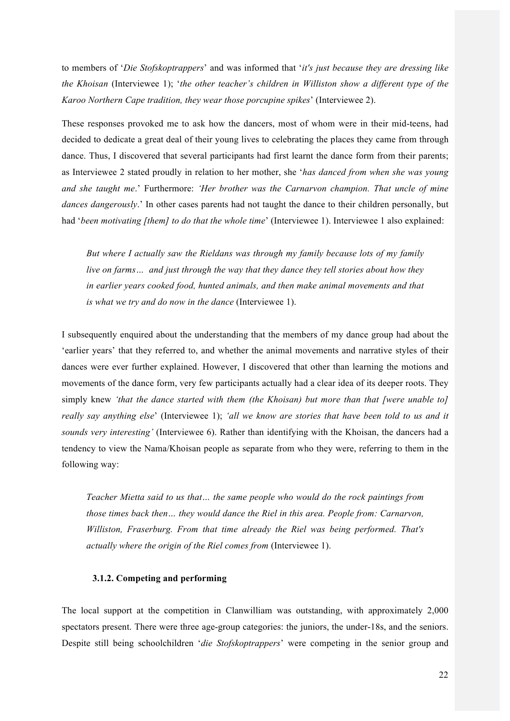to members of '*Die Stofskoptrappers*' and was informed that '*it's just because they are dressing like the Khoisan* (Interviewee 1); '*the other teacher's children in Williston show a different type of the Karoo Northern Cape tradition, they wear those porcupine spikes*' (Interviewee 2).

These responses provoked me to ask how the dancers, most of whom were in their mid-teens, had decided to dedicate a great deal of their young lives to celebrating the places they came from through dance. Thus, I discovered that several participants had first learnt the dance form from their parents; as Interviewee 2 stated proudly in relation to her mother, she '*has danced from when she was young and she taught me*.' Furthermore: *'Her brother was the Carnarvon champion. That uncle of mine dances dangerously*.' In other cases parents had not taught the dance to their children personally, but had '*been motivating [them] to do that the whole time*' (Interviewee 1). Interviewee 1 also explained:

*But where I actually saw the Rieldans was through my family because lots of my family live on farms… and just through the way that they dance they tell stories about how they in earlier years cooked food, hunted animals, and then make animal movements and that is what we try and do now in the dance* (Interviewee 1).

I subsequently enquired about the understanding that the members of my dance group had about the 'earlier years' that they referred to, and whether the animal movements and narrative styles of their dances were ever further explained. However, I discovered that other than learning the motions and movements of the dance form, very few participants actually had a clear idea of its deeper roots. They simply knew *'that the dance started with them (the Khoisan) but more than that [were unable to] really say anything else*' (Interviewee 1); *'all we know are stories that have been told to us and it sounds very interesting'* (Interviewee 6). Rather than identifying with the Khoisan, the dancers had a tendency to view the Nama/Khoisan people as separate from who they were, referring to them in the following way:

*Teacher Mietta said to us that… the same people who would do the rock paintings from those times back then… they would dance the Riel in this area. People from: Carnarvon, Williston, Fraserburg. From that time already the Riel was being performed. That's actually where the origin of the Riel comes from* (Interviewee 1).

#### **3.1.2. Competing and performing**

The local support at the competition in Clanwilliam was outstanding, with approximately 2,000 spectators present. There were three age-group categories: the juniors, the under-18s, and the seniors. Despite still being schoolchildren '*die Stofskoptrappers*' were competing in the senior group and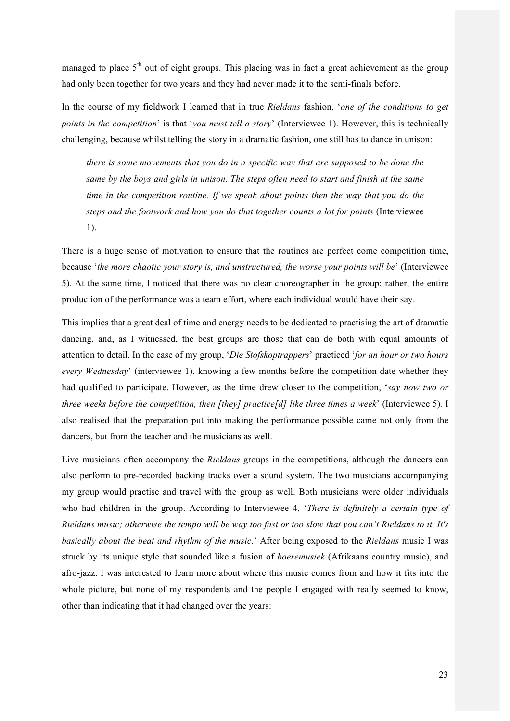managed to place  $5<sup>th</sup>$  out of eight groups. This placing was in fact a great achievement as the group had only been together for two years and they had never made it to the semi-finals before.

In the course of my fieldwork I learned that in true *Rieldans* fashion, '*one of the conditions to get points in the competition*' is that '*you must tell a story*' (Interviewee 1). However, this is technically challenging, because whilst telling the story in a dramatic fashion, one still has to dance in unison:

*there is some movements that you do in a specific way that are supposed to be done the same by the boys and girls in unison. The steps often need to start and finish at the same time in the competition routine. If we speak about points then the way that you do the steps and the footwork and how you do that together counts a lot for points* (Interviewee 1).

There is a huge sense of motivation to ensure that the routines are perfect come competition time, because '*the more chaotic your story is, and unstructured, the worse your points will be*' (Interviewee 5). At the same time, I noticed that there was no clear choreographer in the group; rather, the entire production of the performance was a team effort, where each individual would have their say.

This implies that a great deal of time and energy needs to be dedicated to practising the art of dramatic dancing, and, as I witnessed, the best groups are those that can do both with equal amounts of attention to detail. In the case of my group, '*Die Stofskoptrappers*' practiced '*for an hour or two hours every Wednesday*' (interviewee 1), knowing a few months before the competition date whether they had qualified to participate. However, as the time drew closer to the competition, '*say now two or three weeks before the competition, then [they] practice[d] like three times a week*' (Interviewee 5)*.* I also realised that the preparation put into making the performance possible came not only from the dancers, but from the teacher and the musicians as well.

Live musicians often accompany the *Rieldans* groups in the competitions, although the dancers can also perform to pre-recorded backing tracks over a sound system. The two musicians accompanying my group would practise and travel with the group as well. Both musicians were older individuals who had children in the group. According to Interviewee 4, '*There is definitely a certain type of Rieldans music; otherwise the tempo will be way too fast or too slow that you can't Rieldans to it. It's basically about the beat and rhythm of the music*.' After being exposed to the *Rieldans* music I was struck by its unique style that sounded like a fusion of *boeremusiek* (Afrikaans country music), and afro-jazz. I was interested to learn more about where this music comes from and how it fits into the whole picture, but none of my respondents and the people I engaged with really seemed to know, other than indicating that it had changed over the years: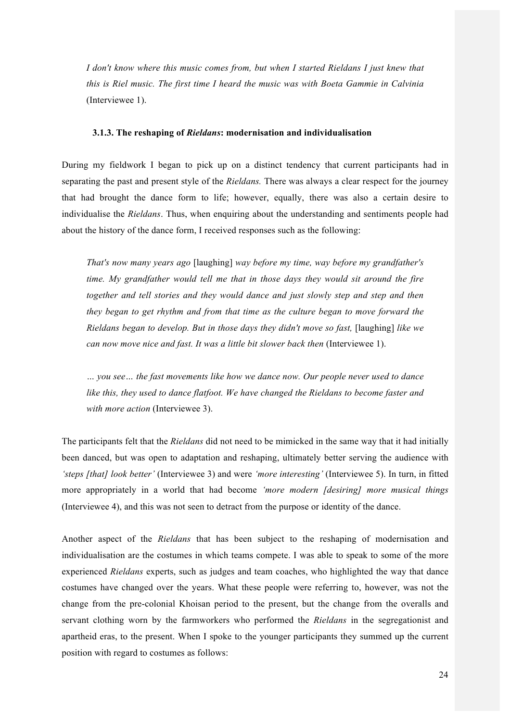*I don't know where this music comes from, but when I started Rieldans I just knew that this is Riel music. The first time I heard the music was with Boeta Gammie in Calvinia*  (Interviewee 1).

#### **3.1.3. The reshaping of** *Rieldans***: modernisation and individualisation**

During my fieldwork I began to pick up on a distinct tendency that current participants had in separating the past and present style of the *Rieldans.* There was always a clear respect for the journey that had brought the dance form to life; however, equally, there was also a certain desire to individualise the *Rieldans*. Thus, when enquiring about the understanding and sentiments people had about the history of the dance form, I received responses such as the following:

*That's now many years ago* [laughing] *way before my time, way before my grandfather's time. My grandfather would tell me that in those days they would sit around the fire together and tell stories and they would dance and just slowly step and step and then they began to get rhythm and from that time as the culture began to move forward the Rieldans began to develop. But in those days they didn't move so fast,* [laughing] *like we can now move nice and fast. It was a little bit slower back then* (Interviewee 1).

*… you see… the fast movements like how we dance now. Our people never used to dance like this, they used to dance flatfoot. We have changed the Rieldans to become faster and with more action* (Interviewee 3).

The participants felt that the *Rieldans* did not need to be mimicked in the same way that it had initially been danced, but was open to adaptation and reshaping, ultimately better serving the audience with *'steps [that] look better'* (Interviewee 3) and were *'more interesting'* (Interviewee 5). In turn, in fitted more appropriately in a world that had become *'more modern [desiring] more musical things* (Interviewee 4), and this was not seen to detract from the purpose or identity of the dance.

Another aspect of the *Rieldans* that has been subject to the reshaping of modernisation and individualisation are the costumes in which teams compete. I was able to speak to some of the more experienced *Rieldans* experts, such as judges and team coaches, who highlighted the way that dance costumes have changed over the years. What these people were referring to, however, was not the change from the pre-colonial Khoisan period to the present, but the change from the overalls and servant clothing worn by the farmworkers who performed the *Rieldans* in the segregationist and apartheid eras, to the present. When I spoke to the younger participants they summed up the current position with regard to costumes as follows: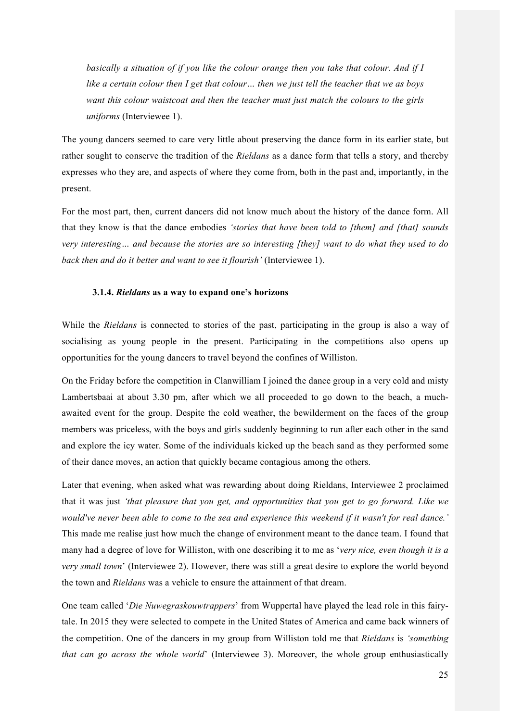*basically a situation of if you like the colour orange then you take that colour. And if I like a certain colour then I get that colour… then we just tell the teacher that we as boys want this colour waistcoat and then the teacher must just match the colours to the girls uniforms* (Interviewee 1).

The young dancers seemed to care very little about preserving the dance form in its earlier state, but rather sought to conserve the tradition of the *Rieldans* as a dance form that tells a story, and thereby expresses who they are, and aspects of where they come from, both in the past and, importantly, in the present.

For the most part, then, current dancers did not know much about the history of the dance form. All that they know is that the dance embodies *'stories that have been told to [them] and [that] sounds very interesting… and because the stories are so interesting [they] want to do what they used to do back then and do it better and want to see it flourish'* (Interviewee 1).

#### **3.1.4.** *Rieldans* **as a way to expand one's horizons**

While the *Rieldans* is connected to stories of the past, participating in the group is also a way of socialising as young people in the present. Participating in the competitions also opens up opportunities for the young dancers to travel beyond the confines of Williston.

On the Friday before the competition in Clanwilliam I joined the dance group in a very cold and misty Lambertsbaai at about 3.30 pm, after which we all proceeded to go down to the beach, a muchawaited event for the group. Despite the cold weather, the bewilderment on the faces of the group members was priceless, with the boys and girls suddenly beginning to run after each other in the sand and explore the icy water. Some of the individuals kicked up the beach sand as they performed some of their dance moves, an action that quickly became contagious among the others.

Later that evening, when asked what was rewarding about doing Rieldans, Interviewee 2 proclaimed that it was just *'that pleasure that you get, and opportunities that you get to go forward. Like we would've never been able to come to the sea and experience this weekend if it wasn't for real dance.'* This made me realise just how much the change of environment meant to the dance team. I found that many had a degree of love for Williston, with one describing it to me as '*very nice, even though it is a very small town*' (Interviewee 2). However, there was still a great desire to explore the world beyond the town and *Rieldans* was a vehicle to ensure the attainment of that dream.

One team called '*Die Nuwegraskouwtrappers*' from Wuppertal have played the lead role in this fairytale. In 2015 they were selected to compete in the United States of America and came back winners of the competition. One of the dancers in my group from Williston told me that *Rieldans* is *'something that can go across the whole world*' (Interviewee 3). Moreover, the whole group enthusiastically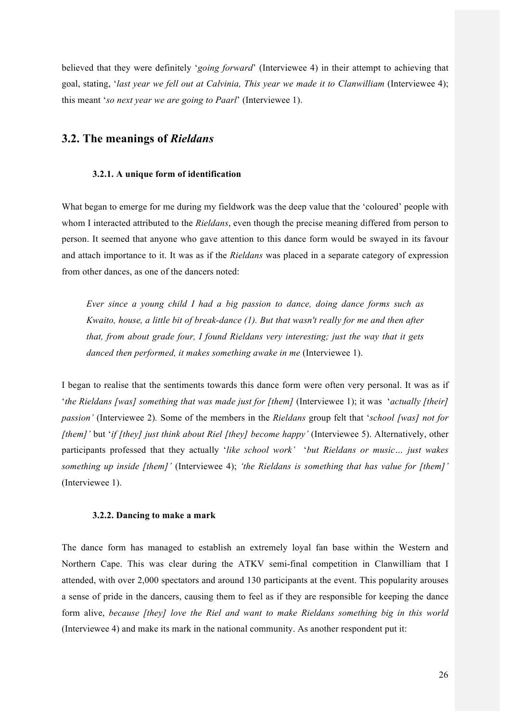believed that they were definitely '*going forward*' (Interviewee 4) in their attempt to achieving that goal, stating, '*last year we fell out at Calvinia, This year we made it to Clanwilliam* (Interviewee 4); this meant '*so next year we are going to Paarl*' (Interviewee 1).

## **3.2. The meanings of** *Rieldans*

#### **3.2.1. A unique form of identification**

What began to emerge for me during my fieldwork was the deep value that the 'coloured' people with whom I interacted attributed to the *Rieldans*, even though the precise meaning differed from person to person. It seemed that anyone who gave attention to this dance form would be swayed in its favour and attach importance to it. It was as if the *Rieldans* was placed in a separate category of expression from other dances, as one of the dancers noted:

*Ever since a young child I had a big passion to dance, doing dance forms such as Kwaito, house, a little bit of break-dance (1). But that wasn't really for me and then after that, from about grade four, I found Rieldans very interesting; just the way that it gets danced then performed, it makes something awake in me* (Interviewee 1).

I began to realise that the sentiments towards this dance form were often very personal. It was as if '*the Rieldans [was] something that was made just for [them]* (Interviewee 1); it was '*actually [their] passion'* (Interviewee 2)*.* Some of the members in the *Rieldans* group felt that '*school [was] not for [them]'* but '*if [they] just think about Riel [they] become happy'* (Interviewee 5). Alternatively, other participants professed that they actually '*like school work'* '*but Rieldans or music… just wakes something up inside [them]'* (Interviewee 4); *'the Rieldans is something that has value for [them]'*  (Interviewee 1).

#### **3.2.2. Dancing to make a mark**

The dance form has managed to establish an extremely loyal fan base within the Western and Northern Cape. This was clear during the ATKV semi-final competition in Clanwilliam that I attended, with over 2,000 spectators and around 130 participants at the event. This popularity arouses a sense of pride in the dancers, causing them to feel as if they are responsible for keeping the dance form alive, *because [they] love the Riel and want to make Rieldans something big in this world*  (Interviewee 4) and make its mark in the national community. As another respondent put it: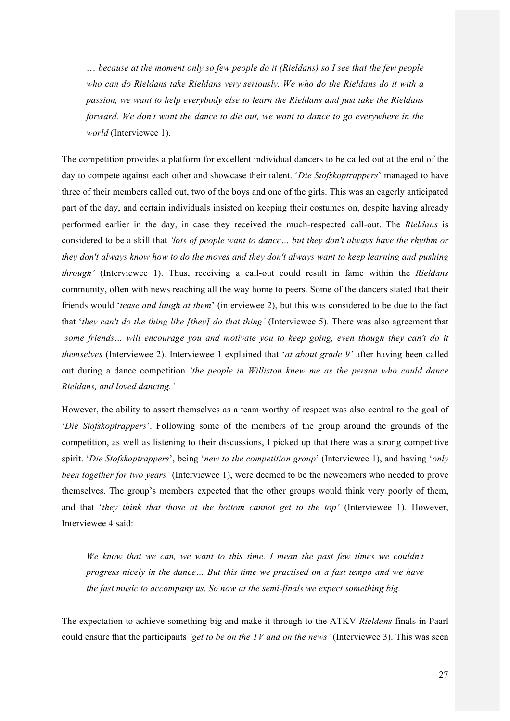… *because at the moment only so few people do it (Rieldans) so I see that the few people who can do Rieldans take Rieldans very seriously. We who do the Rieldans do it with a passion, we want to help everybody else to learn the Rieldans and just take the Rieldans forward. We don't want the dance to die out, we want to dance to go everywhere in the world* (Interviewee 1).

The competition provides a platform for excellent individual dancers to be called out at the end of the day to compete against each other and showcase their talent. '*Die Stofskoptrappers*' managed to have three of their members called out, two of the boys and one of the girls. This was an eagerly anticipated part of the day, and certain individuals insisted on keeping their costumes on, despite having already performed earlier in the day, in case they received the much-respected call-out. The *Rieldans* is considered to be a skill that *'lots of people want to dance… but they don't always have the rhythm or they don't always know how to do the moves and they don't always want to keep learning and pushing through'* (Interviewee 1). Thus, receiving a call-out could result in fame within the *Rieldans*  community, often with news reaching all the way home to peers. Some of the dancers stated that their friends would '*tease and laugh at them*' (interviewee 2), but this was considered to be due to the fact that '*they can't do the thing like [they] do that thing'* (Interviewee 5). There was also agreement that *'some friends… will encourage you and motivate you to keep going, even though they can't do it themselves* (Interviewee 2)*.* Interviewee 1 explained that '*at about grade 9'* after having been called out during a dance competition *'the people in Williston knew me as the person who could dance Rieldans, and loved dancing.'*

However, the ability to assert themselves as a team worthy of respect was also central to the goal of '*Die Stofskoptrappers*'. Following some of the members of the group around the grounds of the competition, as well as listening to their discussions, I picked up that there was a strong competitive spirit. '*Die Stofskoptrappers*', being '*new to the competition group*' (Interviewee 1), and having '*only been together for two years'* (Interviewee 1), were deemed to be the newcomers who needed to prove themselves. The group's members expected that the other groups would think very poorly of them, and that '*they think that those at the bottom cannot get to the top'* (Interviewee 1). However, Interviewee 4 said:

*We know that we can, we want to this time. I mean the past few times we couldn't progress nicely in the dance… But this time we practised on a fast tempo and we have the fast music to accompany us. So now at the semi-finals we expect something big.*

The expectation to achieve something big and make it through to the ATKV *Rieldans* finals in Paarl could ensure that the participants *'get to be on the TV and on the news'* (Interviewee 3). This was seen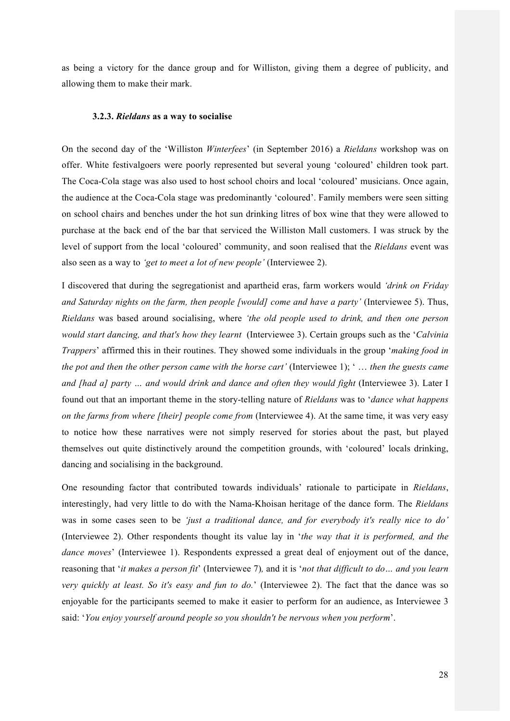as being a victory for the dance group and for Williston, giving them a degree of publicity, and allowing them to make their mark.

#### **3.2.3.** *Rieldans* **as a way to socialise**

On the second day of the 'Williston *Winterfees*' (in September 2016) a *Rieldans* workshop was on offer. White festivalgoers were poorly represented but several young 'coloured' children took part. The Coca-Cola stage was also used to host school choirs and local 'coloured' musicians. Once again, the audience at the Coca-Cola stage was predominantly 'coloured'. Family members were seen sitting on school chairs and benches under the hot sun drinking litres of box wine that they were allowed to purchase at the back end of the bar that serviced the Williston Mall customers. I was struck by the level of support from the local 'coloured' community, and soon realised that the *Rieldans* event was also seen as a way to *'get to meet a lot of new people'* (Interviewee 2).

I discovered that during the segregationist and apartheid eras, farm workers would *'drink on Friday and Saturday nights on the farm, then people [would] come and have a party'* (Interviewee 5). Thus, *Rieldans* was based around socialising, where *'the old people used to drink, and then one person would start dancing, and that's how they learnt* (Interviewee 3). Certain groups such as the '*Calvinia Trappers*' affirmed this in their routines. They showed some individuals in the group '*making food in the pot and then the other person came with the horse cart'* (Interviewee 1); ' … *then the guests came and [had a] party … and would drink and dance and often they would fight* (Interviewee 3). Later I found out that an important theme in the story-telling nature of *Rieldans* was to '*dance what happens on the farms from where [their] people come from* (Interviewee 4). At the same time, it was very easy to notice how these narratives were not simply reserved for stories about the past, but played themselves out quite distinctively around the competition grounds, with 'coloured' locals drinking, dancing and socialising in the background.

One resounding factor that contributed towards individuals' rationale to participate in *Rieldans*, interestingly, had very little to do with the Nama-Khoisan heritage of the dance form. The *Rieldans*  was in some cases seen to be *'just a traditional dance, and for everybody it's really nice to do'*  (Interviewee 2). Other respondents thought its value lay in '*the way that it is performed, and the dance moves*' (Interviewee 1). Respondents expressed a great deal of enjoyment out of the dance, reasoning that '*it makes a person fit*' (Interviewee 7)*,* and it is '*not that difficult to do… and you learn very quickly at least. So it's easy and fun to do.*' (Interviewee 2). The fact that the dance was so enjoyable for the participants seemed to make it easier to perform for an audience, as Interviewee 3 said: '*You enjoy yourself around people so you shouldn't be nervous when you perform*'.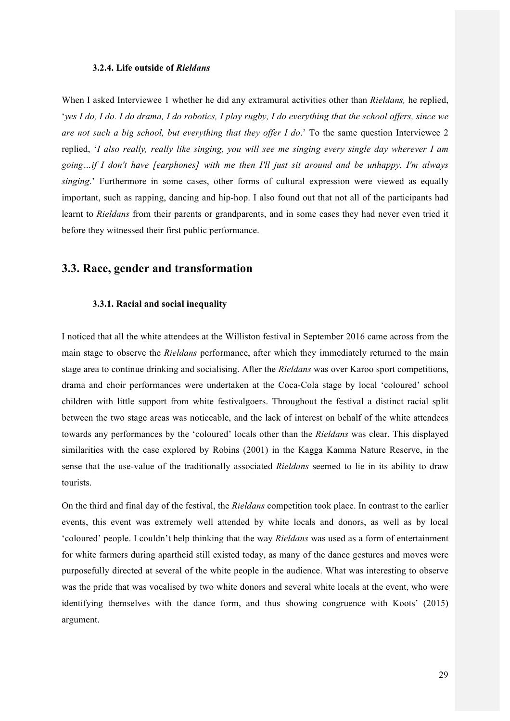#### **3.2.4. Life outside of** *Rieldans*

When I asked Interviewee 1 whether he did any extramural activities other than *Rieldans,* he replied, '*yes I do, I do. I do drama, I do robotics, I play rugby, I do everything that the school offers, since we are not such a big school, but everything that they offer I do*.' To the same question Interviewee 2 replied, '*I also really, really like singing, you will see me singing every single day wherever I am going…if I don't have [earphones] with me then I'll just sit around and be unhappy. I'm always singing*.' Furthermore in some cases, other forms of cultural expression were viewed as equally important, such as rapping, dancing and hip-hop. I also found out that not all of the participants had learnt to *Rieldans* from their parents or grandparents, and in some cases they had never even tried it before they witnessed their first public performance.

## **3.3. Race, gender and transformation**

#### **3.3.1. Racial and social inequality**

I noticed that all the white attendees at the Williston festival in September 2016 came across from the main stage to observe the *Rieldans* performance, after which they immediately returned to the main stage area to continue drinking and socialising. After the *Rieldans* was over Karoo sport competitions, drama and choir performances were undertaken at the Coca-Cola stage by local 'coloured' school children with little support from white festivalgoers. Throughout the festival a distinct racial split between the two stage areas was noticeable, and the lack of interest on behalf of the white attendees towards any performances by the 'coloured' locals other than the *Rieldans* was clear. This displayed similarities with the case explored by Robins (2001) in the Kagga Kamma Nature Reserve, in the sense that the use-value of the traditionally associated *Rieldans* seemed to lie in its ability to draw tourists.

On the third and final day of the festival, the *Rieldans* competition took place. In contrast to the earlier events, this event was extremely well attended by white locals and donors, as well as by local 'coloured' people. I couldn't help thinking that the way *Rieldans* was used as a form of entertainment for white farmers during apartheid still existed today, as many of the dance gestures and moves were purposefully directed at several of the white people in the audience. What was interesting to observe was the pride that was vocalised by two white donors and several white locals at the event, who were identifying themselves with the dance form, and thus showing congruence with Koots' (2015) argument.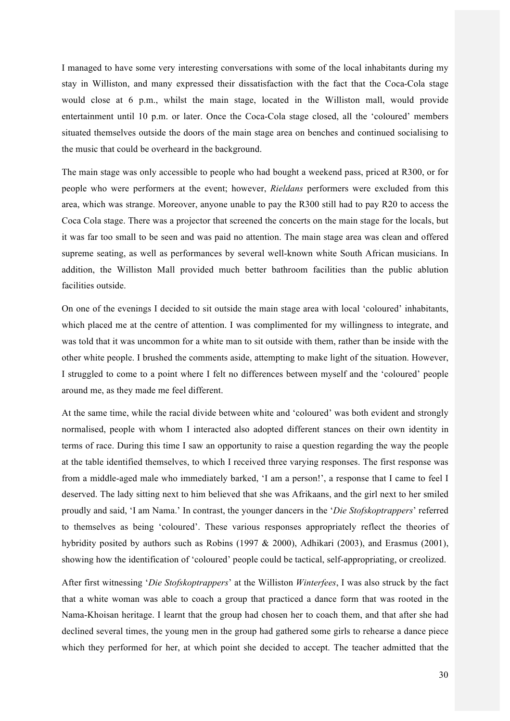I managed to have some very interesting conversations with some of the local inhabitants during my stay in Williston, and many expressed their dissatisfaction with the fact that the Coca-Cola stage would close at 6 p.m., whilst the main stage, located in the Williston mall, would provide entertainment until 10 p.m. or later. Once the Coca-Cola stage closed, all the 'coloured' members situated themselves outside the doors of the main stage area on benches and continued socialising to the music that could be overheard in the background.

The main stage was only accessible to people who had bought a weekend pass, priced at R300, or for people who were performers at the event; however, *Rieldans* performers were excluded from this area, which was strange. Moreover, anyone unable to pay the R300 still had to pay R20 to access the Coca Cola stage. There was a projector that screened the concerts on the main stage for the locals, but it was far too small to be seen and was paid no attention. The main stage area was clean and offered supreme seating, as well as performances by several well-known white South African musicians. In addition, the Williston Mall provided much better bathroom facilities than the public ablution facilities outside.

On one of the evenings I decided to sit outside the main stage area with local 'coloured' inhabitants, which placed me at the centre of attention. I was complimented for my willingness to integrate, and was told that it was uncommon for a white man to sit outside with them, rather than be inside with the other white people. I brushed the comments aside, attempting to make light of the situation. However, I struggled to come to a point where I felt no differences between myself and the 'coloured' people around me, as they made me feel different.

At the same time, while the racial divide between white and 'coloured' was both evident and strongly normalised, people with whom I interacted also adopted different stances on their own identity in terms of race. During this time I saw an opportunity to raise a question regarding the way the people at the table identified themselves, to which I received three varying responses. The first response was from a middle-aged male who immediately barked, 'I am a person!', a response that I came to feel I deserved. The lady sitting next to him believed that she was Afrikaans, and the girl next to her smiled proudly and said, 'I am Nama.' In contrast, the younger dancers in the '*Die Stofskoptrappers*' referred to themselves as being 'coloured'. These various responses appropriately reflect the theories of hybridity posited by authors such as Robins (1997 & 2000), Adhikari (2003), and Erasmus (2001), showing how the identification of 'coloured' people could be tactical, self-appropriating, or creolized.

After first witnessing '*Die Stofskoptrappers*' at the Williston *Winterfees*, I was also struck by the fact that a white woman was able to coach a group that practiced a dance form that was rooted in the Nama-Khoisan heritage. I learnt that the group had chosen her to coach them, and that after she had declined several times, the young men in the group had gathered some girls to rehearse a dance piece which they performed for her, at which point she decided to accept. The teacher admitted that the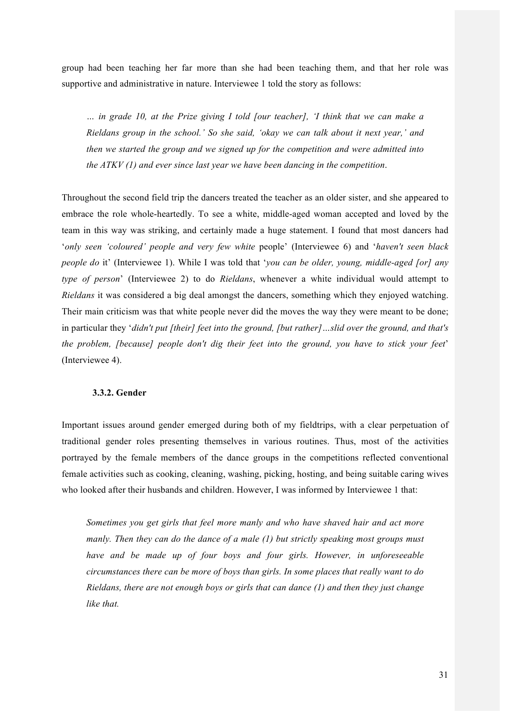group had been teaching her far more than she had been teaching them, and that her role was supportive and administrative in nature. Interviewee 1 told the story as follows:

*… in grade 10, at the Prize giving I told [our teacher], 'I think that we can make a Rieldans group in the school.' So she said, 'okay we can talk about it next year,' and then we started the group and we signed up for the competition and were admitted into the ATKV (1) and ever since last year we have been dancing in the competition*.

Throughout the second field trip the dancers treated the teacher as an older sister, and she appeared to embrace the role whole-heartedly. To see a white, middle-aged woman accepted and loved by the team in this way was striking, and certainly made a huge statement. I found that most dancers had '*only seen 'coloured' people and very few white* people' (Interviewee 6) and '*haven't seen black people do* it' (Interviewee 1). While I was told that '*you can be older, young, middle-aged [or] any type of person*' (Interviewee 2) to do *Rieldans*, whenever a white individual would attempt to *Rieldans* it was considered a big deal amongst the dancers, something which they enjoyed watching. Their main criticism was that white people never did the moves the way they were meant to be done; in particular they '*didn't put [their] feet into the ground, [but rather]…slid over the ground, and that's the problem, [because] people don't dig their feet into the ground, you have to stick your feet*' (Interviewee 4).

## **3.3.2. Gender**

Important issues around gender emerged during both of my fieldtrips, with a clear perpetuation of traditional gender roles presenting themselves in various routines. Thus, most of the activities portrayed by the female members of the dance groups in the competitions reflected conventional female activities such as cooking, cleaning, washing, picking, hosting, and being suitable caring wives who looked after their husbands and children. However, I was informed by Interviewee 1 that:

*Sometimes you get girls that feel more manly and who have shaved hair and act more manly. Then they can do the dance of a male (1) but strictly speaking most groups must have and be made up of four boys and four girls. However, in unforeseeable circumstances there can be more of boys than girls. In some places that really want to do Rieldans, there are not enough boys or girls that can dance (1) and then they just change like that.*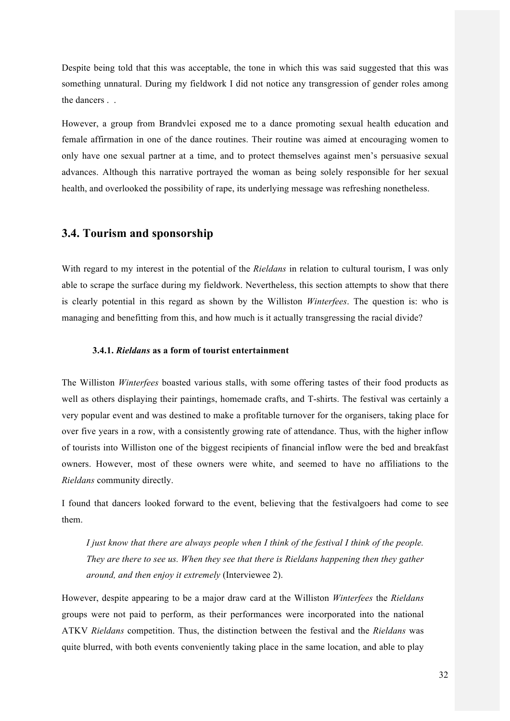Despite being told that this was acceptable, the tone in which this was said suggested that this was something unnatural. During my fieldwork I did not notice any transgression of gender roles among the dancers . .

However, a group from Brandvlei exposed me to a dance promoting sexual health education and female affirmation in one of the dance routines. Their routine was aimed at encouraging women to only have one sexual partner at a time, and to protect themselves against men's persuasive sexual advances. Although this narrative portrayed the woman as being solely responsible for her sexual health, and overlooked the possibility of rape, its underlying message was refreshing nonetheless.

## **3.4. Tourism and sponsorship**

With regard to my interest in the potential of the *Rieldans* in relation to cultural tourism, I was only able to scrape the surface during my fieldwork. Nevertheless, this section attempts to show that there is clearly potential in this regard as shown by the Williston *Winterfees*. The question is: who is managing and benefitting from this, and how much is it actually transgressing the racial divide?

#### **3.4.1.** *Rieldans* **as a form of tourist entertainment**

The Williston *Winterfees* boasted various stalls, with some offering tastes of their food products as well as others displaying their paintings, homemade crafts, and T-shirts. The festival was certainly a very popular event and was destined to make a profitable turnover for the organisers, taking place for over five years in a row, with a consistently growing rate of attendance. Thus, with the higher inflow of tourists into Williston one of the biggest recipients of financial inflow were the bed and breakfast owners. However, most of these owners were white, and seemed to have no affiliations to the *Rieldans* community directly.

I found that dancers looked forward to the event, believing that the festivalgoers had come to see them.

*I just know that there are always people when I think of the festival I think of the people. They are there to see us. When they see that there is Rieldans happening then they gather around, and then enjoy it extremely* (Interviewee 2).

However, despite appearing to be a major draw card at the Williston *Winterfees* the *Rieldans*  groups were not paid to perform, as their performances were incorporated into the national ATKV *Rieldans* competition. Thus, the distinction between the festival and the *Rieldans* was quite blurred, with both events conveniently taking place in the same location, and able to play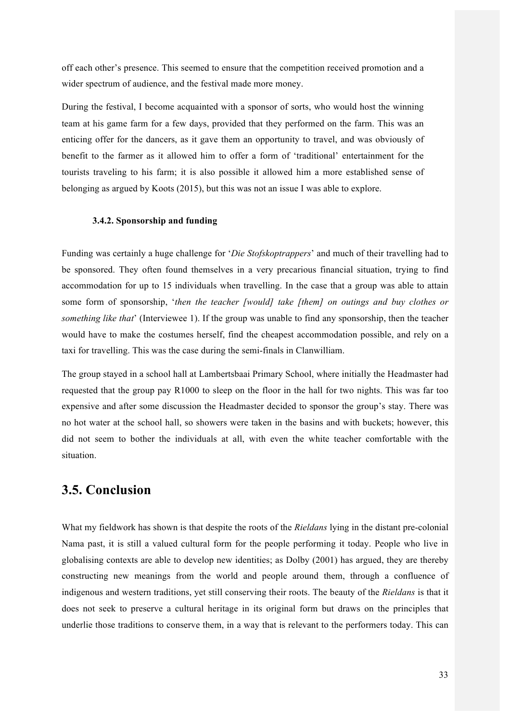off each other's presence. This seemed to ensure that the competition received promotion and a wider spectrum of audience, and the festival made more money.

During the festival, I become acquainted with a sponsor of sorts, who would host the winning team at his game farm for a few days, provided that they performed on the farm. This was an enticing offer for the dancers, as it gave them an opportunity to travel, and was obviously of benefit to the farmer as it allowed him to offer a form of 'traditional' entertainment for the tourists traveling to his farm; it is also possible it allowed him a more established sense of belonging as argued by Koots (2015), but this was not an issue I was able to explore.

#### **3.4.2. Sponsorship and funding**

Funding was certainly a huge challenge for '*Die Stofskoptrappers*' and much of their travelling had to be sponsored. They often found themselves in a very precarious financial situation, trying to find accommodation for up to 15 individuals when travelling. In the case that a group was able to attain some form of sponsorship, '*then the teacher [would] take [them] on outings and buy clothes or something like that*' (Interviewee 1). If the group was unable to find any sponsorship, then the teacher would have to make the costumes herself, find the cheapest accommodation possible, and rely on a taxi for travelling. This was the case during the semi-finals in Clanwilliam.

The group stayed in a school hall at Lambertsbaai Primary School, where initially the Headmaster had requested that the group pay R1000 to sleep on the floor in the hall for two nights. This was far too expensive and after some discussion the Headmaster decided to sponsor the group's stay. There was no hot water at the school hall, so showers were taken in the basins and with buckets; however, this did not seem to bother the individuals at all, with even the white teacher comfortable with the situation.

## **3.5. Conclusion**

What my fieldwork has shown is that despite the roots of the *Rieldans* lying in the distant pre-colonial Nama past, it is still a valued cultural form for the people performing it today. People who live in globalising contexts are able to develop new identities; as Dolby (2001) has argued, they are thereby constructing new meanings from the world and people around them, through a confluence of indigenous and western traditions, yet still conserving their roots. The beauty of the *Rieldans* is that it does not seek to preserve a cultural heritage in its original form but draws on the principles that underlie those traditions to conserve them, in a way that is relevant to the performers today. This can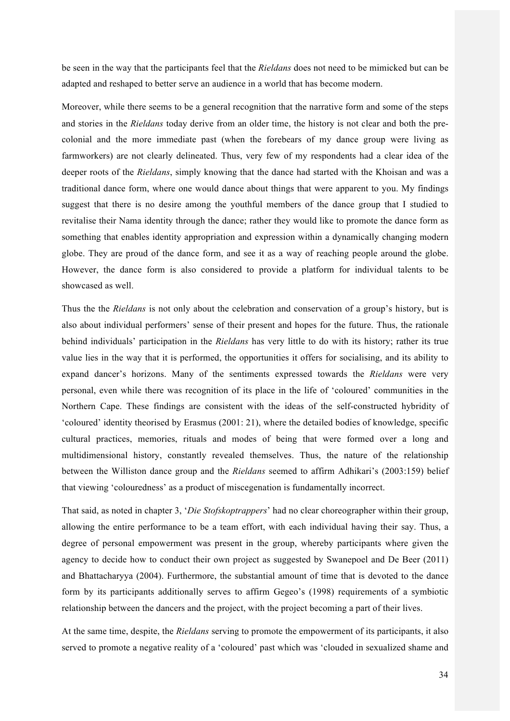be seen in the way that the participants feel that the *Rieldans* does not need to be mimicked but can be adapted and reshaped to better serve an audience in a world that has become modern.

Moreover, while there seems to be a general recognition that the narrative form and some of the steps and stories in the *Rieldans* today derive from an older time, the history is not clear and both the precolonial and the more immediate past (when the forebears of my dance group were living as farmworkers) are not clearly delineated. Thus, very few of my respondents had a clear idea of the deeper roots of the *Rieldans*, simply knowing that the dance had started with the Khoisan and was a traditional dance form, where one would dance about things that were apparent to you. My findings suggest that there is no desire among the youthful members of the dance group that I studied to revitalise their Nama identity through the dance; rather they would like to promote the dance form as something that enables identity appropriation and expression within a dynamically changing modern globe. They are proud of the dance form, and see it as a way of reaching people around the globe. However, the dance form is also considered to provide a platform for individual talents to be showcased as well.

Thus the the *Rieldans* is not only about the celebration and conservation of a group's history, but is also about individual performers' sense of their present and hopes for the future. Thus, the rationale behind individuals' participation in the *Rieldans* has very little to do with its history; rather its true value lies in the way that it is performed, the opportunities it offers for socialising, and its ability to expand dancer's horizons. Many of the sentiments expressed towards the *Rieldans* were very personal, even while there was recognition of its place in the life of 'coloured' communities in the Northern Cape. These findings are consistent with the ideas of the self-constructed hybridity of 'coloured' identity theorised by Erasmus (2001: 21), where the detailed bodies of knowledge, specific cultural practices, memories, rituals and modes of being that were formed over a long and multidimensional history, constantly revealed themselves. Thus, the nature of the relationship between the Williston dance group and the *Rieldans* seemed to affirm Adhikari's (2003:159) belief that viewing 'colouredness' as a product of miscegenation is fundamentally incorrect.

That said, as noted in chapter 3, '*Die Stofskoptrappers*' had no clear choreographer within their group, allowing the entire performance to be a team effort, with each individual having their say. Thus, a degree of personal empowerment was present in the group, whereby participants where given the agency to decide how to conduct their own project as suggested by Swanepoel and De Beer (2011) and Bhattacharyya (2004). Furthermore, the substantial amount of time that is devoted to the dance form by its participants additionally serves to affirm Gegeo's (1998) requirements of a symbiotic relationship between the dancers and the project, with the project becoming a part of their lives.

At the same time, despite, the *Rieldans* serving to promote the empowerment of its participants, it also served to promote a negative reality of a 'coloured' past which was 'clouded in sexualized shame and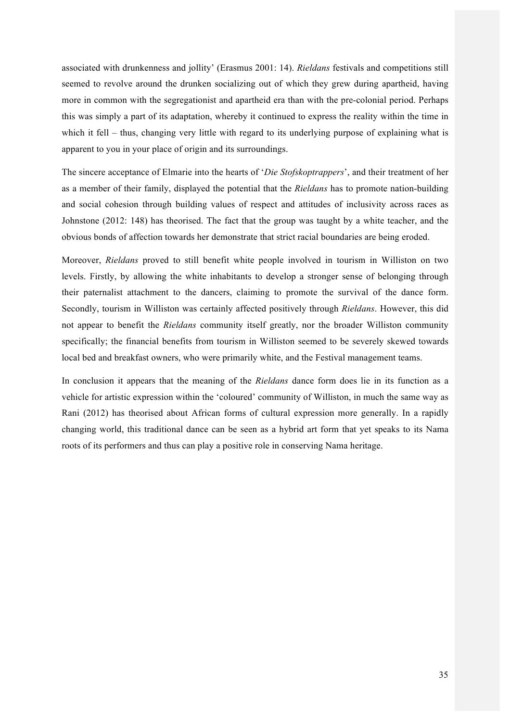associated with drunkenness and jollity' (Erasmus 2001: 14). *Rieldans* festivals and competitions still seemed to revolve around the drunken socializing out of which they grew during apartheid, having more in common with the segregationist and apartheid era than with the pre-colonial period. Perhaps this was simply a part of its adaptation, whereby it continued to express the reality within the time in which it fell – thus, changing very little with regard to its underlying purpose of explaining what is apparent to you in your place of origin and its surroundings.

The sincere acceptance of Elmarie into the hearts of '*Die Stofskoptrappers*', and their treatment of her as a member of their family, displayed the potential that the *Rieldans* has to promote nation-building and social cohesion through building values of respect and attitudes of inclusivity across races as Johnstone (2012: 148) has theorised. The fact that the group was taught by a white teacher, and the obvious bonds of affection towards her demonstrate that strict racial boundaries are being eroded.

Moreover, *Rieldans* proved to still benefit white people involved in tourism in Williston on two levels. Firstly, by allowing the white inhabitants to develop a stronger sense of belonging through their paternalist attachment to the dancers, claiming to promote the survival of the dance form. Secondly, tourism in Williston was certainly affected positively through *Rieldans*. However, this did not appear to benefit the *Rieldans* community itself greatly, nor the broader Williston community specifically; the financial benefits from tourism in Williston seemed to be severely skewed towards local bed and breakfast owners, who were primarily white, and the Festival management teams.

In conclusion it appears that the meaning of the *Rieldans* dance form does lie in its function as a vehicle for artistic expression within the 'coloured' community of Williston, in much the same way as Rani (2012) has theorised about African forms of cultural expression more generally. In a rapidly changing world, this traditional dance can be seen as a hybrid art form that yet speaks to its Nama roots of its performers and thus can play a positive role in conserving Nama heritage.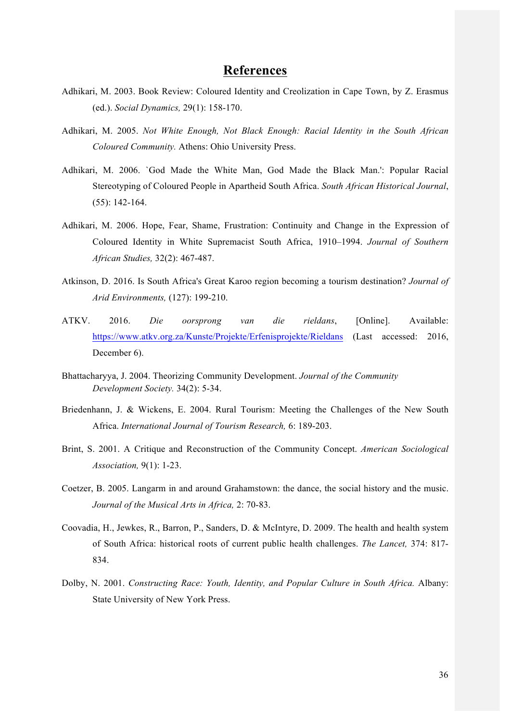## **References**

- Adhikari, M. 2003. Book Review: Coloured Identity and Creolization in Cape Town, by Z. Erasmus (ed.). *Social Dynamics,* 29(1): 158-170.
- Adhikari, M. 2005. *Not White Enough, Not Black Enough: Racial Identity in the South African Coloured Community.* Athens: Ohio University Press.
- Adhikari, M. 2006. `God Made the White Man, God Made the Black Man.': Popular Racial Stereotyping of Coloured People in Apartheid South Africa. *South African Historical Journal*, (55): 142-164.
- Adhikari, M. 2006. Hope, Fear, Shame, Frustration: Continuity and Change in the Expression of Coloured Identity in White Supremacist South Africa, 1910–1994. *Journal of Southern African Studies,* 32(2): 467-487.
- Atkinson, D. 2016. Is South Africa's Great Karoo region becoming a tourism destination? *Journal of Arid Environments,* (127): 199-210.
- ATKV. 2016. *Die oorsprong van die rieldans*, [Online]. Available: https://www.atkv.org.za/Kunste/Projekte/Erfenisprojekte/Rieldans (Last accessed: 2016, December 6).
- Bhattacharyya, J. 2004. Theorizing Community Development. *Journal of the Community Development Society.* 34(2): 5-34.
- Briedenhann, J. & Wickens, E. 2004. Rural Tourism: Meeting the Challenges of the New South Africa. *International Journal of Tourism Research,* 6: 189-203.
- Brint, S. 2001. A Critique and Reconstruction of the Community Concept. *American Sociological Association,* 9(1): 1-23.
- Coetzer, B. 2005. Langarm in and around Grahamstown: the dance, the social history and the music. *Journal of the Musical Arts in Africa,* 2: 70-83.
- Coovadia, H., Jewkes, R., Barron, P., Sanders, D. & McIntyre, D. 2009. The health and health system of South Africa: historical roots of current public health challenges. *The Lancet,* 374: 817- 834.
- Dolby, N. 2001. *Constructing Race: Youth, Identity, and Popular Culture in South Africa.* Albany: State University of New York Press.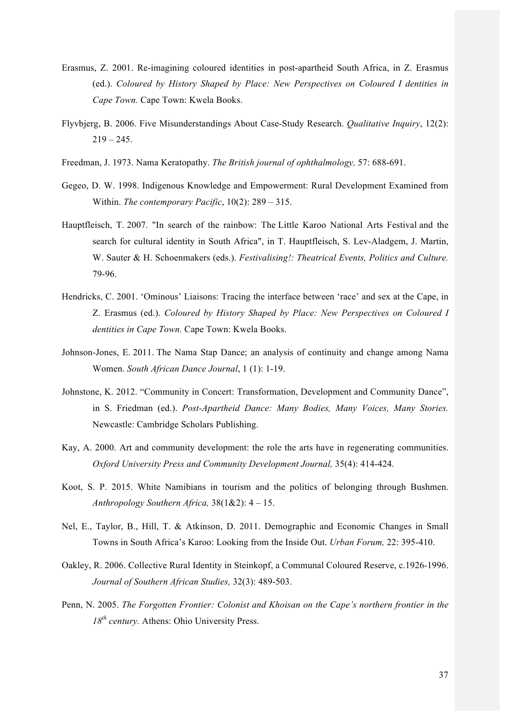- Erasmus, Z. 2001. Re-imagining coloured identities in post-apartheid South Africa, in Z. Erasmus (ed.). *Coloured by History Shaped by Place: New Perspectives on Coloured I dentities in Cape Town.* Cape Town: Kwela Books.
- Flyvbjerg, B. 2006. Five Misunderstandings About Case-Study Research. *Qualitative Inquiry*, 12(2):  $219 - 245$
- Freedman, J. 1973. Nama Keratopathy. *The British journal of ophthalmology,* 57: 688-691.
- Gegeo, D. W. 1998. Indigenous Knowledge and Empowerment: Rural Development Examined from Within. *The contemporary Pacific*, 10(2): 289 – 315.
- Hauptfleisch, T. 2007. "In search of the rainbow: The Little Karoo National Arts Festival and the search for cultural identity in South Africa", in T. Hauptfleisch, S. Lev-Aladgem, J. Martin, W. Sauter & H. Schoenmakers (eds.). *Festivalising!: Theatrical Events, Politics and Culture.*  79-96.
- Hendricks, C. 2001. 'Ominous' Liaisons: Tracing the interface between 'race' and sex at the Cape, in Z. Erasmus (ed.). *Coloured by History Shaped by Place: New Perspectives on Coloured I dentities in Cape Town.* Cape Town: Kwela Books.
- Johnson-Jones, E. 2011. The Nama Stap Dance; an analysis of continuity and change among Nama Women. *South African Dance Journal*, 1 (1): 1-19.
- Johnstone, K. 2012. "Community in Concert: Transformation, Development and Community Dance", in S. Friedman (ed.). *Post-Apartheid Dance: Many Bodies, Many Voices, Many Stories.*  Newcastle: Cambridge Scholars Publishing.
- Kay, A. 2000. Art and community development: the role the arts have in regenerating communities. *Oxford University Press and Community Development Journal,* 35(4): 414-424.
- Koot, S. P. 2015. White Namibians in tourism and the politics of belonging through Bushmen. *Anthropology Southern Africa,* 38(1&2): 4 – 15.
- Nel, E., Taylor, B., Hill, T. & Atkinson, D. 2011. Demographic and Economic Changes in Small Towns in South Africa's Karoo: Looking from the Inside Out. *Urban Forum,* 22: 395-410.
- Oakley, R. 2006. Collective Rural Identity in Steinkopf, a Communal Coloured Reserve, c.1926-1996. *Journal of Southern African Studies,* 32(3): 489-503.
- Penn, N. 2005. *The Forgotten Frontier: Colonist and Khoisan on the Cape's northern frontier in the 18th century.* Athens: Ohio University Press.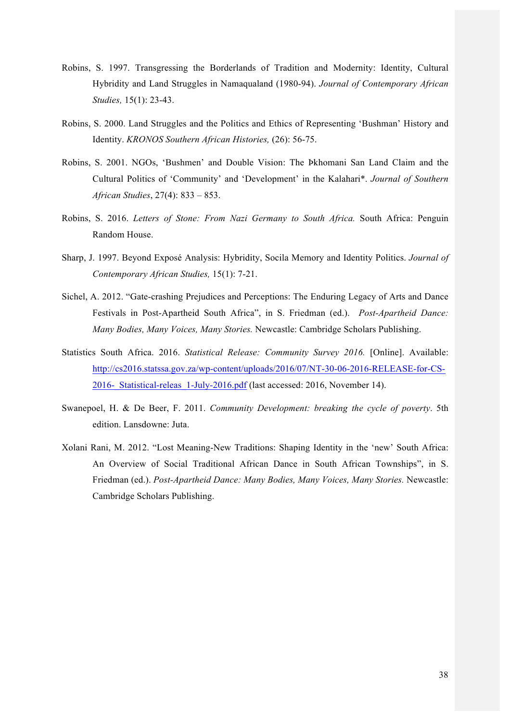- Robins, S. 1997. Transgressing the Borderlands of Tradition and Modernity: Identity, Cultural Hybridity and Land Struggles in Namaqualand (1980-94). *Journal of Contemporary African Studies,* 15(1): 23-43.
- Robins, S. 2000. Land Struggles and the Politics and Ethics of Representing 'Bushman' History and Identity. *KRONOS Southern African Histories,* (26): 56-75.
- Robins, S. 2001. NGOs, 'Bushmen' and Double Vision: The Þkhomani San Land Claim and the Cultural Politics of 'Community' and 'Development' in the Kalahari\*. *Journal of Southern African Studies*, 27(4): 833 – 853.
- Robins, S. 2016. *Letters of Stone: From Nazi Germany to South Africa.* South Africa: Penguin Random House.
- Sharp, J. 1997. Beyond Exposé Analysis: Hybridity, Socila Memory and Identity Politics. *Journal of Contemporary African Studies,* 15(1): 7-21.
- Sichel, A. 2012. "Gate-crashing Prejudices and Perceptions: The Enduring Legacy of Arts and Dance Festivals in Post-Apartheid South Africa", in S. Friedman (ed.). *Post-Apartheid Dance: Many Bodies, Many Voices, Many Stories.* Newcastle: Cambridge Scholars Publishing.
- Statistics South Africa. 2016. *Statistical Release: Community Survey 2016.* [Online]. Available: http://cs2016.statssa.gov.za/wp-content/uploads/2016/07/NT-30-06-2016-RELEASE-for-CS-2016-\_Statistical-releas\_1-July-2016.pdf (last accessed: 2016, November 14).
- Swanepoel, H. & De Beer, F. 2011. *Community Development: breaking the cycle of poverty*. 5th edition. Lansdowne: Juta.
- Xolani Rani, M. 2012. "Lost Meaning-New Traditions: Shaping Identity in the 'new' South Africa: An Overview of Social Traditional African Dance in South African Townships", in S. Friedman (ed.). *Post-Apartheid Dance: Many Bodies, Many Voices, Many Stories.* Newcastle: Cambridge Scholars Publishing.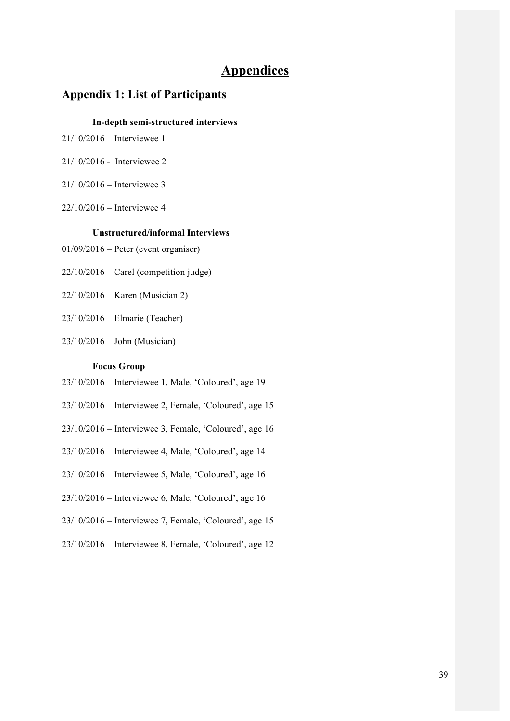# **Appendices**

## **Appendix 1: List of Participants**

#### **In-depth semi-structured interviews**

- 21/10/2016 Interviewee 1
- 21/10/2016 Interviewee 2
- 21/10/2016 Interviewee 3
- 22/10/2016 Interviewee 4

### **Unstructured/informal Interviews**

- 01/09/2016 Peter (event organiser)
- $22/10/2016$  Carel (competition judge)
- 22/10/2016 Karen (Musician 2)
- 23/10/2016 Elmarie (Teacher)
- 23/10/2016 John (Musician)

#### **Focus Group**

- 23/10/2016 Interviewee 1, Male, 'Coloured', age 19
- 23/10/2016 Interviewee 2, Female, 'Coloured', age 15
- 23/10/2016 Interviewee 3, Female, 'Coloured', age 16
- 23/10/2016 Interviewee 4, Male, 'Coloured', age 14
- 23/10/2016 Interviewee 5, Male, 'Coloured', age 16
- 23/10/2016 Interviewee 6, Male, 'Coloured', age 16
- 23/10/2016 Interviewee 7, Female, 'Coloured', age 15
- 23/10/2016 Interviewee 8, Female, 'Coloured', age 12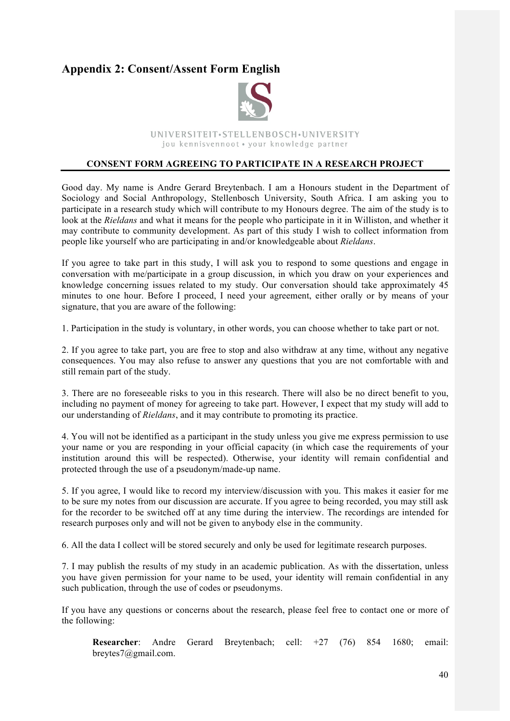# **Appendix 2: Consent/Assent Form English**



UNIVERSITEIT.STELLENBOSCH.UNIVERSITY jou kennisvennoot · your knowledge partner

#### **CONSENT FORM AGREEING TO PARTICIPATE IN A RESEARCH PROJECT**

Good day. My name is Andre Gerard Breytenbach. I am a Honours student in the Department of Sociology and Social Anthropology, Stellenbosch University, South Africa. I am asking you to participate in a research study which will contribute to my Honours degree. The aim of the study is to look at the *Rieldans* and what it means for the people who participate in it in Williston, and whether it may contribute to community development. As part of this study I wish to collect information from people like yourself who are participating in and/or knowledgeable about *Rieldans*.

If you agree to take part in this study, I will ask you to respond to some questions and engage in conversation with me/participate in a group discussion, in which you draw on your experiences and knowledge concerning issues related to my study. Our conversation should take approximately 45 minutes to one hour. Before I proceed, I need your agreement, either orally or by means of your signature, that you are aware of the following:

1. Participation in the study is voluntary, in other words, you can choose whether to take part or not.

2. If you agree to take part, you are free to stop and also withdraw at any time, without any negative consequences. You may also refuse to answer any questions that you are not comfortable with and still remain part of the study.

3. There are no foreseeable risks to you in this research. There will also be no direct benefit to you, including no payment of money for agreeing to take part. However, I expect that my study will add to our understanding of *Rieldans*, and it may contribute to promoting its practice.

4. You will not be identified as a participant in the study unless you give me express permission to use your name or you are responding in your official capacity (in which case the requirements of your institution around this will be respected). Otherwise, your identity will remain confidential and protected through the use of a pseudonym/made-up name.

5. If you agree, I would like to record my interview/discussion with you. This makes it easier for me to be sure my notes from our discussion are accurate. If you agree to being recorded, you may still ask for the recorder to be switched off at any time during the interview. The recordings are intended for research purposes only and will not be given to anybody else in the community.

6. All the data I collect will be stored securely and only be used for legitimate research purposes.

7. I may publish the results of my study in an academic publication. As with the dissertation, unless you have given permission for your name to be used, your identity will remain confidential in any such publication, through the use of codes or pseudonyms.

If you have any questions or concerns about the research, please feel free to contact one or more of the following:

**Researcher**: Andre Gerard Breytenbach; cell: +27 (76) 854 1680; email: breytes7@gmail.com.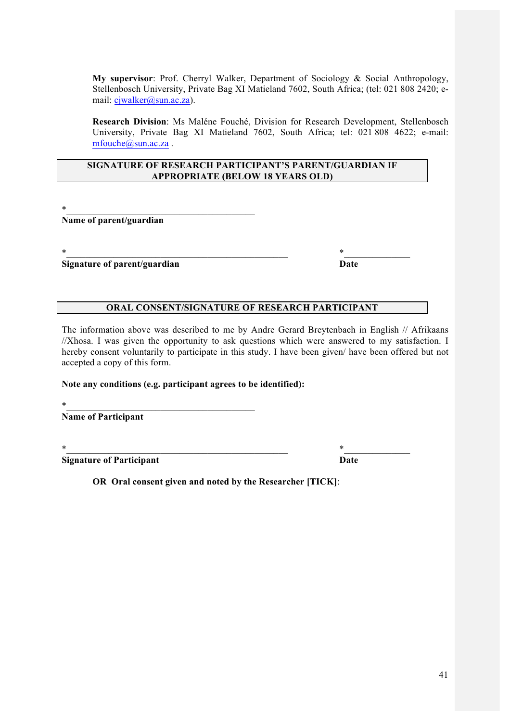**My supervisor**: Prof. Cherryl Walker, Department of Sociology & Social Anthropology, Stellenbosch University, Private Bag XI Matieland 7602, South Africa; (tel: 021 808 2420; email: cjwalker@sun.ac.za).

**Research Division**: Ms Maléne Fouché, Division for Research Development, Stellenbosch University, Private Bag XI Matieland 7602, South Africa; tel: 021 808 4622; e-mail: mfouche@sun.ac.za.

#### **SIGNATURE OF RESEARCH PARTICIPANT'S PARENT/GUARDIAN IF APPROPRIATE (BELOW 18 YEARS OLD)**

 $*$ 

**Name of parent/guardian**

 $*$ 

**Signature of parent/guardian Date** 

## **ORAL CONSENT/SIGNATURE OF RESEARCH PARTICIPANT**

The information above was described to me by Andre Gerard Breytenbach in English // Afrikaans //Xhosa. I was given the opportunity to ask questions which were answered to my satisfaction. I hereby consent voluntarily to participate in this study. I have been given/ have been offered but not accepted a copy of this form.

### **Note any conditions (e.g. participant agrees to be identified):**

 $*$ **Name of Participant**

 $*$ 

**Signature of Participant Date** 

**OR Oral consent given and noted by the Researcher [TICK]**: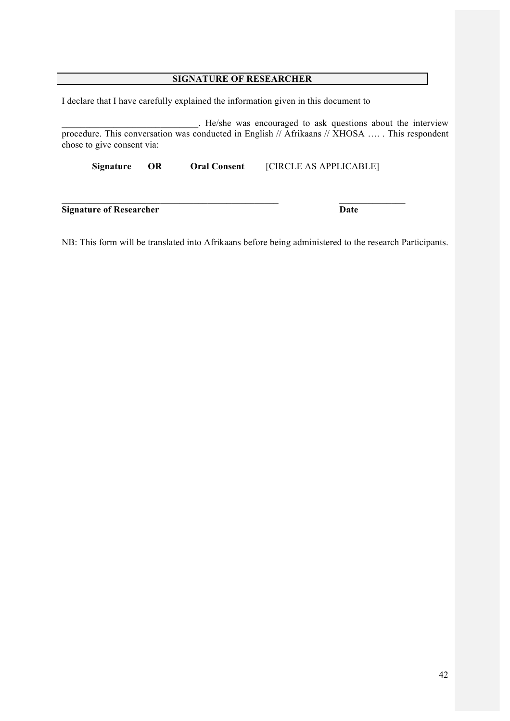## **SIGNATURE OF RESEARCHER**

I declare that I have carefully explained the information given in this document to

\_\_\_\_\_\_\_\_\_\_\_\_\_\_\_\_\_\_\_\_\_\_\_\_\_\_\_\_\_. He/she was encouraged to ask questions about the interview procedure. This conversation was conducted in English // Afrikaans // XHOSA .... . This respondent chose to give consent via:

**Signature OR Oral Consent** [CIRCLE AS APPLICABLE]

 $\mathcal{L}_\text{max} = \mathcal{L}_\text{max} = \mathcal{L}_\text{max} = \mathcal{L}_\text{max} = \mathcal{L}_\text{max} = \mathcal{L}_\text{max} = \mathcal{L}_\text{max} = \mathcal{L}_\text{max} = \mathcal{L}_\text{max} = \mathcal{L}_\text{max} = \mathcal{L}_\text{max} = \mathcal{L}_\text{max} = \mathcal{L}_\text{max} = \mathcal{L}_\text{max} = \mathcal{L}_\text{max} = \mathcal{L}_\text{max} = \mathcal{L}_\text{max} = \mathcal{L}_\text{max} = \mathcal{$ 

**Signature of Researcher Date** 

NB: This form will be translated into Afrikaans before being administered to the research Participants.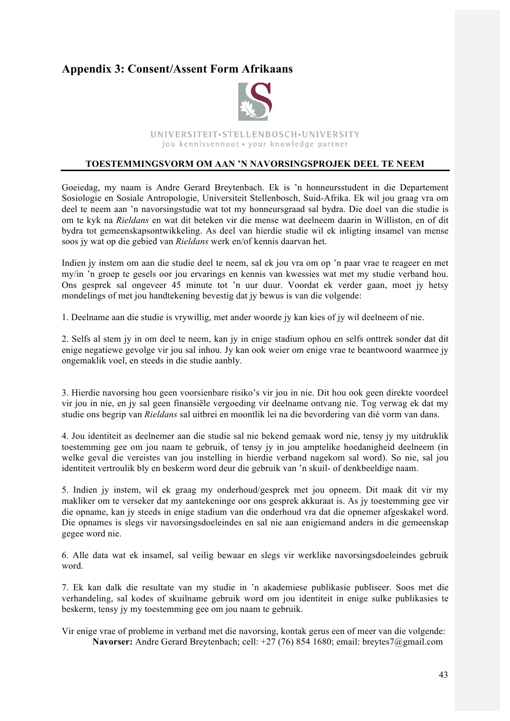# **Appendix 3: Consent/Assent Form Afrikaans**



UNIVERSITEIT.STELLENBOSCH.UNIVERSITY jou kennisvennoot · your knowledge partner

#### **TOESTEMMINGSVORM OM AAN 'N NAVORSINGSPROJEK DEEL TE NEEM**

Goeiedag, my naam is Andre Gerard Breytenbach. Ek is 'n honneursstudent in die Departement Sosiologie en Sosiale Antropologie, Universiteit Stellenbosch, Suid-Afrika. Ek wil jou graag vra om deel te neem aan 'n navorsingstudie wat tot my honneursgraad sal bydra. Die doel van die studie is om te kyk na *Rieldans* en wat dit beteken vir die mense wat deelneem daarin in Williston, en of dit bydra tot gemeenskapsontwikkeling. As deel van hierdie studie wil ek inligting insamel van mense soos jy wat op die gebied van *Rieldans* werk en/of kennis daarvan het.

Indien jy instem om aan die studie deel te neem, sal ek jou vra om op 'n paar vrae te reageer en met my/in 'n groep te gesels oor jou ervarings en kennis van kwessies wat met my studie verband hou. Ons gesprek sal ongeveer 45 minute tot 'n uur duur. Voordat ek verder gaan, moet jy hetsy mondelings of met jou handtekening bevestig dat jy bewus is van die volgende:

1. Deelname aan die studie is vrywillig, met ander woorde jy kan kies of jy wil deelneem of nie.

2. Selfs al stem jy in om deel te neem, kan jy in enige stadium ophou en selfs onttrek sonder dat dit enige negatiewe gevolge vir jou sal inhou. Jy kan ook weier om enige vrae te beantwoord waarmee jy ongemaklik voel, en steeds in die studie aanbly.

3. Hierdie navorsing hou geen voorsienbare risiko's vir jou in nie. Dit hou ook geen direkte voordeel vir jou in nie, en jy sal geen finansiële vergoeding vir deelname ontvang nie. Tog verwag ek dat my studie ons begrip van *Rieldans* sal uitbrei en moontlik lei na die bevordering van dié vorm van dans.

4. Jou identiteit as deelnemer aan die studie sal nie bekend gemaak word nie, tensy jy my uitdruklik toestemming gee om jou naam te gebruik, of tensy jy in jou amptelike hoedanigheid deelneem (in welke geval die vereistes van jou instelling in hierdie verband nagekom sal word). So nie, sal jou identiteit vertroulik bly en beskerm word deur die gebruik van 'n skuil- of denkbeeldige naam.

5. Indien jy instem, wil ek graag my onderhoud/gesprek met jou opneem. Dit maak dit vir my makliker om te verseker dat my aantekeninge oor ons gesprek akkuraat is. As jy toestemming gee vir die opname, kan jy steeds in enige stadium van die onderhoud vra dat die opnemer afgeskakel word. Die opnames is slegs vir navorsingsdoeleindes en sal nie aan enigiemand anders in die gemeenskap gegee word nie.

6. Alle data wat ek insamel, sal veilig bewaar en slegs vir werklike navorsingsdoeleindes gebruik word.

7. Ek kan dalk die resultate van my studie in 'n akademiese publikasie publiseer. Soos met die verhandeling, sal kodes of skuilname gebruik word om jou identiteit in enige sulke publikasies te beskerm, tensy jy my toestemming gee om jou naam te gebruik.

Vir enige vrae of probleme in verband met die navorsing, kontak gerus een of meer van die volgende: **Navorser:** Andre Gerard Breytenbach; cell: +27 (76) 854 1680; email: breytes7@gmail.com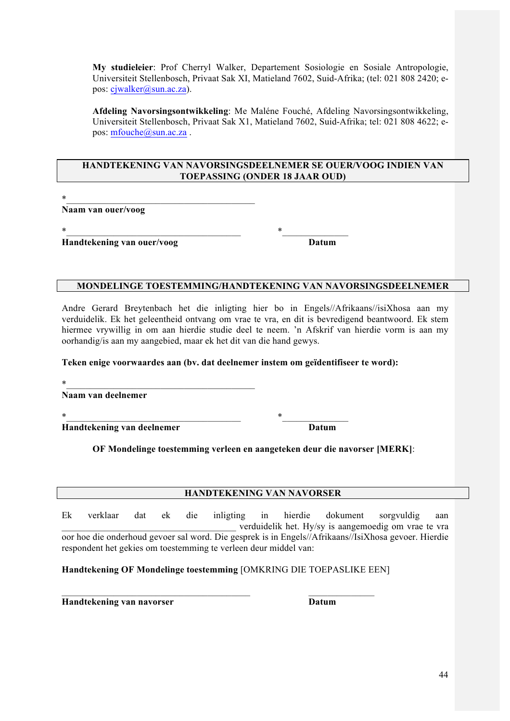**My studieleier**: Prof Cherryl Walker, Departement Sosiologie en Sosiale Antropologie, Universiteit Stellenbosch, Privaat Sak XI, Matieland 7602, Suid-Afrika; (tel: 021 808 2420; epos: cjwalker@sun.ac.za).

**Afdeling Navorsingsontwikkeling**: Me Maléne Fouché, Afdeling Navorsingsontwikkeling, Universiteit Stellenbosch, Privaat Sak X1, Matieland 7602, Suid-Afrika; tel: 021 808 4622; epos: mfouche@sun.ac.za.

#### **HANDTEKENING VAN NAVORSINGSDEELNEMER SE OUER/VOOG INDIEN VAN TOEPASSING (ONDER 18 JAAR OUD)**

 $*$ 

**Naam van ouer/voog**

 $*$ 

**Handtekening van ouer/voog Datum**

## **MONDELINGE TOESTEMMING/HANDTEKENING VAN NAVORSINGSDEELNEMER**

Andre Gerard Breytenbach het die inligting hier bo in Engels//Afrikaans//isiXhosa aan my verduidelik. Ek het geleentheid ontvang om vrae te vra, en dit is bevredigend beantwoord. Ek stem hiermee vrywillig in om aan hierdie studie deel te neem. 'n Afskrif van hierdie vorm is aan my oorhandig/is aan my aangebied, maar ek het dit van die hand gewys.

#### **Teken enige voorwaardes aan (bv. dat deelnemer instem om geïdentifiseer te word):**

| $\ast$                     |       |  |
|----------------------------|-------|--|
| Naam van deelnemer         |       |  |
| $\ast$                     | ∗     |  |
| Handtekening van deelnemer | Datum |  |

#### **OF Mondelinge toestemming verleen en aangeteken deur die navorser [MERK]**:

#### **HANDTEKENING VAN NAVORSER**

Ek verklaar dat ek die inligting in hierdie dokument sorgvuldig aan \_\_\_\_\_\_\_\_\_\_\_\_\_\_\_\_\_\_\_\_\_\_\_\_\_\_\_\_\_\_\_\_\_\_\_\_\_ verduidelik het. Hy/sy is aangemoedig om vrae te vra oor hoe die onderhoud gevoer sal word. Die gesprek is in Engels//Afrikaans//IsiXhosa gevoer. Hierdie respondent het gekies om toestemming te verleen deur middel van:

**Handtekening OF Mondelinge toestemming** [OMKRING DIE TOEPASLIKE EEN]

 $\mathcal{L}_\text{max} = \mathcal{L}_\text{max} = \mathcal{L}_\text{max} = \mathcal{L}_\text{max} = \mathcal{L}_\text{max} = \mathcal{L}_\text{max} = \mathcal{L}_\text{max} = \mathcal{L}_\text{max} = \mathcal{L}_\text{max} = \mathcal{L}_\text{max} = \mathcal{L}_\text{max} = \mathcal{L}_\text{max} = \mathcal{L}_\text{max} = \mathcal{L}_\text{max} = \mathcal{L}_\text{max} = \mathcal{L}_\text{max} = \mathcal{L}_\text{max} = \mathcal{L}_\text{max} = \mathcal{$ 

**Handtekening van navorser Datum**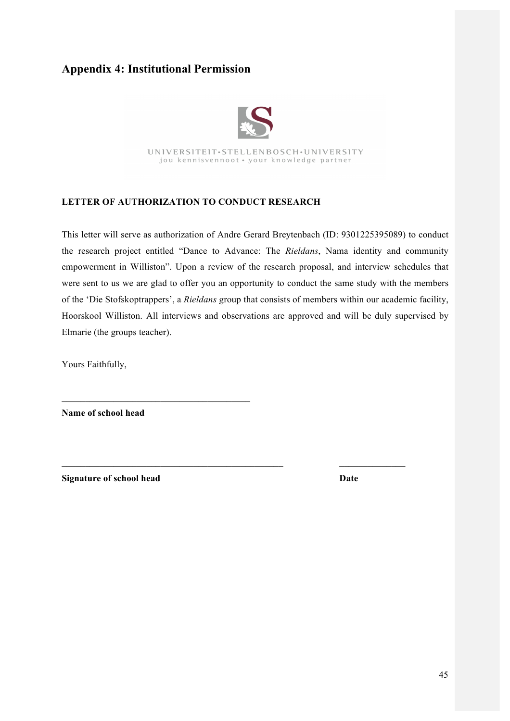# **Appendix 4: Institutional Permission**



UNIVERSITEIT·STELLENBOSCH·UNIVERSITY jou kennisvennoot · your knowledge partner

## **LETTER OF AUTHORIZATION TO CONDUCT RESEARCH**

This letter will serve as authorization of Andre Gerard Breytenbach (ID: 9301225395089) to conduct the research project entitled "Dance to Advance: The *Rieldans*, Nama identity and community empowerment in Williston". Upon a review of the research proposal, and interview schedules that were sent to us we are glad to offer you an opportunity to conduct the same study with the members of the 'Die Stofskoptrappers', a *Rieldans* group that consists of members within our academic facility, Hoorskool Williston. All interviews and observations are approved and will be duly supervised by Elmarie (the groups teacher).

 $\mathcal{L}_\text{max} = \mathcal{L}_\text{max} = \mathcal{L}_\text{max} = \mathcal{L}_\text{max} = \mathcal{L}_\text{max} = \mathcal{L}_\text{max} = \mathcal{L}_\text{max} = \mathcal{L}_\text{max} = \mathcal{L}_\text{max} = \mathcal{L}_\text{max} = \mathcal{L}_\text{max} = \mathcal{L}_\text{max} = \mathcal{L}_\text{max} = \mathcal{L}_\text{max} = \mathcal{L}_\text{max} = \mathcal{L}_\text{max} = \mathcal{L}_\text{max} = \mathcal{L}_\text{max} = \mathcal{$ 

Yours Faithfully,

**Name of school head**

 $\mathcal{L}_\text{max} = \mathcal{L}_\text{max} = \mathcal{L}_\text{max} = \mathcal{L}_\text{max} = \mathcal{L}_\text{max}$ 

**Signature of school head Date**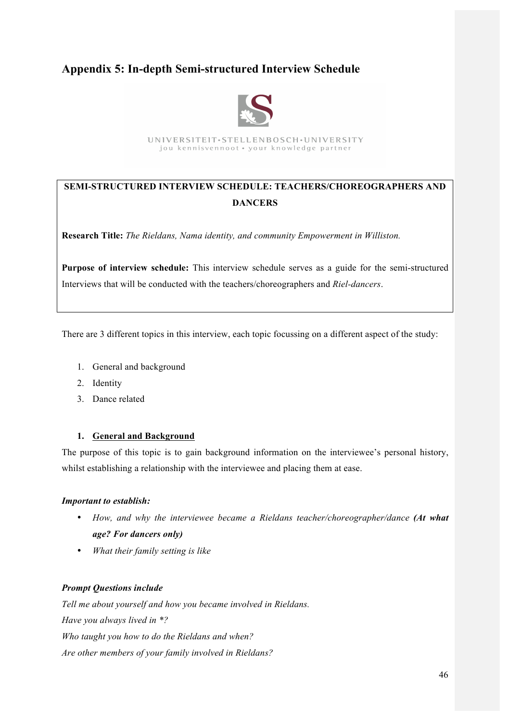# **Appendix 5: In-depth Semi-structured Interview Schedule**



UNIVERSITEIT·STELLENBOSCH·UNIVERSITY jou kennisvennoot · your knowledge partner

# **SEMI-STRUCTURED INTERVIEW SCHEDULE: TEACHERS/CHOREOGRAPHERS AND DANCERS**

**Research Title:** *The Rieldans, Nama identity, and community Empowerment in Williston.*

**Purpose of interview schedule:** This interview schedule serves as a guide for the semi-structured Interviews that will be conducted with the teachers/choreographers and *Riel-dancers*.

There are 3 different topics in this interview, each topic focussing on a different aspect of the study:

- 1. General and background
- 2. Identity
- 3. Dance related

#### **1. General and Background**

The purpose of this topic is to gain background information on the interviewee's personal history, whilst establishing a relationship with the interviewee and placing them at ease.

#### *Important to establish:*

- *How, and why the interviewee became a Rieldans teacher/choreographer/dance (At what age? For dancers only)*
- *What their family setting is like*

#### *Prompt Questions include*

*Tell me about yourself and how you became involved in Rieldans. Have you always lived in \*? Who taught you how to do the Rieldans and when? Are other members of your family involved in Rieldans?*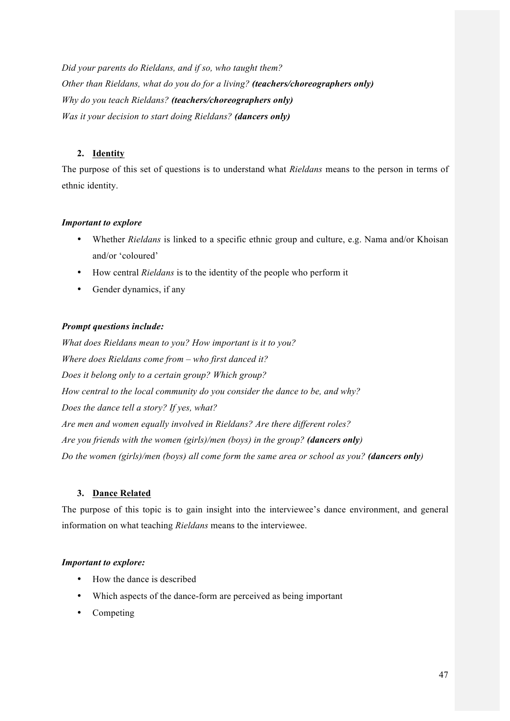*Did your parents do Rieldans, and if so, who taught them? Other than Rieldans, what do you do for a living? (teachers/choreographers only) Why do you teach Rieldans? (teachers/choreographers only) Was it your decision to start doing Rieldans? (dancers only)*

## **2. Identity**

The purpose of this set of questions is to understand what *Rieldans* means to the person in terms of ethnic identity.

## *Important to explore*

- Whether *Rieldans* is linked to a specific ethnic group and culture, e.g. Nama and/or Khoisan and/or 'coloured'
- How central *Rieldans* is to the identity of the people who perform it
- Gender dynamics, if any

## *Prompt questions include:*

*What does Rieldans mean to you? How important is it to you? Where does Rieldans come from – who first danced it? Does it belong only to a certain group? Which group? How central to the local community do you consider the dance to be, and why? Does the dance tell a story? If yes, what? Are men and women equally involved in Rieldans? Are there different roles? Are you friends with the women (girls)/men (boys) in the group? (dancers only) Do the women (girls)/men (boys) all come form the same area or school as you? (dancers only)*

## **3. Dance Related**

The purpose of this topic is to gain insight into the interviewee's dance environment, and general information on what teaching *Rieldans* means to the interviewee.

## *Important to explore:*

- How the dance is described
- Which aspects of the dance-form are perceived as being important
- Competing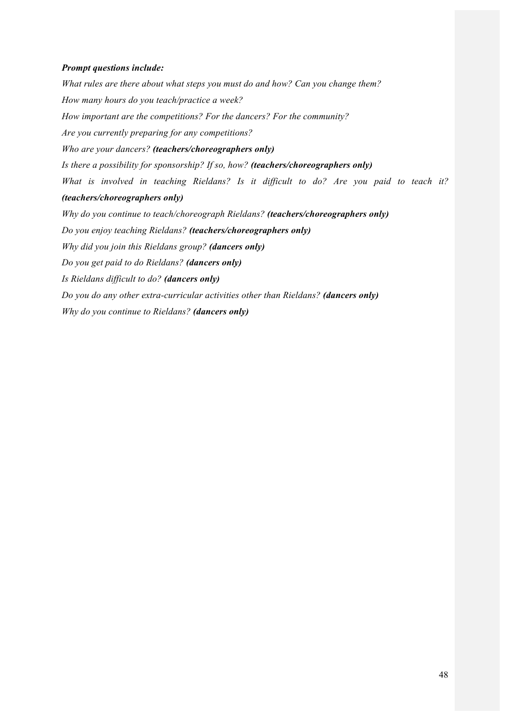#### *Prompt questions include:*

*What rules are there about what steps you must do and how? Can you change them? How many hours do you teach/practice a week? How important are the competitions? For the dancers? For the community? Are you currently preparing for any competitions? Who are your dancers? (teachers/choreographers only) Is there a possibility for sponsorship? If so, how? (teachers/choreographers only) What is involved in teaching Rieldans? Is it difficult to do? Are you paid to teach it? (teachers/choreographers only) Why do you continue to teach/choreograph Rieldans? (teachers/choreographers only) Do you enjoy teaching Rieldans? (teachers/choreographers only) Why did you join this Rieldans group? (dancers only) Do you get paid to do Rieldans? (dancers only) Is Rieldans difficult to do? (dancers only) Do you do any other extra-curricular activities other than Rieldans? (dancers only) Why do you continue to Rieldans? (dancers only)*